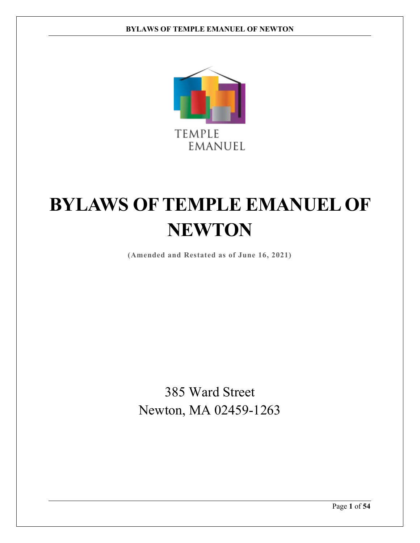

**(Amended and Restated as of June 16, 2021)**

385 Ward Street Newton, MA 02459-1263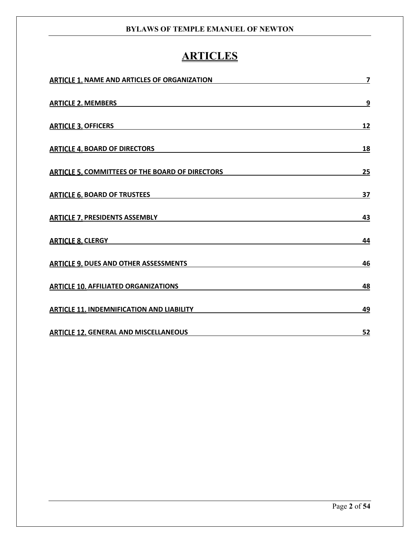# **ARTICLES**

| <b>ARTICLE 1. NAME AND ARTICLES OF ORGANIZATION</b>    | 7         |
|--------------------------------------------------------|-----------|
| <b>ARTICLE 2. MEMBERS</b>                              | 9         |
| <b>ARTICLE 3. OFFICERS</b>                             | 12        |
| <b>ARTICLE 4. BOARD OF DIRECTORS</b>                   | 18        |
| <b>ARTICLE 5. COMMITTEES OF THE BOARD OF DIRECTORS</b> | 25        |
| <b>ARTICLE 6. BOARD OF TRUSTEES</b>                    | 37        |
| <b>ARTICLE 7. PRESIDENTS ASSEMBLY</b>                  | 43        |
| <b>ARTICLE 8. CLERGY</b>                               | 44        |
| <b>ARTICLE 9. DUES AND OTHER ASSESSMENTS</b>           | 46        |
| <b>ARTICLE 10. AFFILIATED ORGANIZATIONS</b>            | 48        |
| <b>ARTICLE 11. INDEMNIFICATION AND LIABILITY</b>       | 49        |
| <b>ARTICLE 12. GENERAL AND MISCELLANEOUS</b>           | <u>52</u> |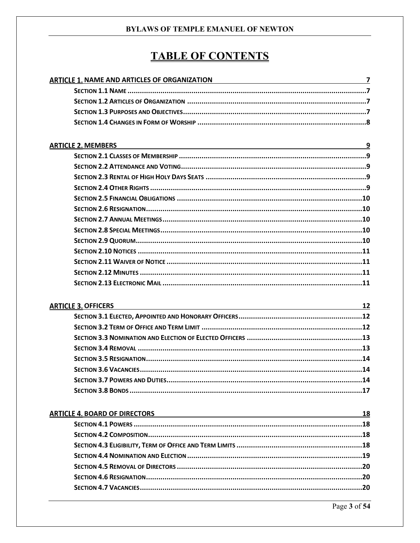# **TABLE OF CONTENTS**

| ARTICLE 1. NAME AND ARTICLES OF ORGANIZATION <b>ARTICLE 1. NAME AND ARTICLE 1.</b>                                    |    |
|-----------------------------------------------------------------------------------------------------------------------|----|
|                                                                                                                       |    |
|                                                                                                                       |    |
|                                                                                                                       |    |
|                                                                                                                       |    |
|                                                                                                                       |    |
| <b>ARTICLE 2. MEMBERS</b><br><u>9</u>                                                                                 |    |
|                                                                                                                       |    |
|                                                                                                                       |    |
|                                                                                                                       |    |
|                                                                                                                       |    |
|                                                                                                                       |    |
|                                                                                                                       |    |
|                                                                                                                       |    |
|                                                                                                                       |    |
|                                                                                                                       |    |
|                                                                                                                       |    |
|                                                                                                                       |    |
|                                                                                                                       |    |
|                                                                                                                       |    |
|                                                                                                                       |    |
| <b>ARTICLE 3. OFFICERS</b>                                                                                            |    |
|                                                                                                                       |    |
|                                                                                                                       |    |
|                                                                                                                       |    |
|                                                                                                                       |    |
|                                                                                                                       |    |
|                                                                                                                       |    |
|                                                                                                                       |    |
|                                                                                                                       |    |
| <b>ARTICLE 4. BOARD OF DIRECTORS</b>                                                                                  | 18 |
| <u> 1989 - Johann Stein, marwolaethau a bhann an t-Amhain Aonaichte ann an t-Amhain Aonaichte ann an t-Amhain Aon</u> |    |
|                                                                                                                       |    |
|                                                                                                                       |    |
|                                                                                                                       |    |
|                                                                                                                       |    |
|                                                                                                                       |    |
|                                                                                                                       |    |
|                                                                                                                       |    |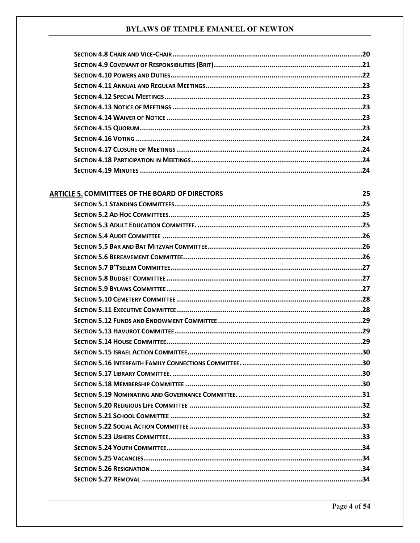| ARTICLE 5. COMMITTEES OF THE BOARD OF DIRECTORS | 25 |
|-------------------------------------------------|----|
|                                                 |    |
|                                                 |    |
|                                                 |    |
|                                                 |    |
|                                                 |    |
|                                                 |    |
|                                                 |    |
|                                                 |    |
|                                                 |    |
|                                                 |    |
|                                                 |    |
|                                                 |    |
|                                                 |    |
|                                                 |    |
|                                                 |    |
|                                                 |    |
|                                                 |    |
|                                                 |    |
|                                                 |    |
|                                                 |    |
|                                                 |    |
|                                                 |    |
|                                                 |    |
|                                                 |    |
|                                                 |    |
|                                                 |    |
|                                                 |    |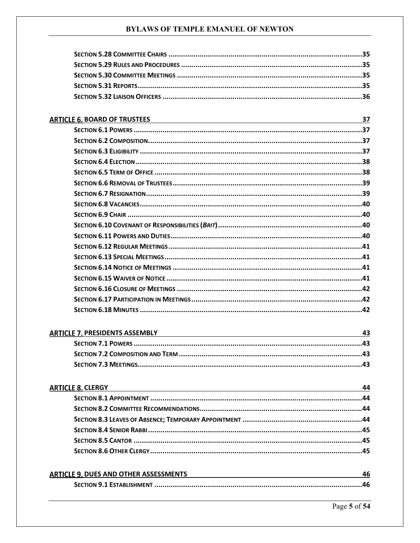| <b>ARTICLE 6. BOARD OF TRUSTEES</b>   | 37  |
|---------------------------------------|-----|
|                                       |     |
|                                       |     |
|                                       |     |
|                                       | .38 |
|                                       |     |
|                                       |     |
|                                       |     |
|                                       |     |
|                                       |     |
|                                       |     |
|                                       |     |
|                                       |     |
|                                       |     |
|                                       |     |
|                                       |     |
|                                       |     |
|                                       |     |
|                                       |     |
| <b>ARTICLE 7. PRESIDENTS ASSEMBLY</b> | 43  |

| TICLL 7. TINLSIDLIVIS ASSEIVIDET | ╍ |
|----------------------------------|---|
|                                  |   |
|                                  |   |
|                                  |   |

# **ARTICLE 8. CLERGY** 44

| <b>ARTICLE 9. DUES AND OTHER ASSESSMENTS</b> |  |
|----------------------------------------------|--|
|                                              |  |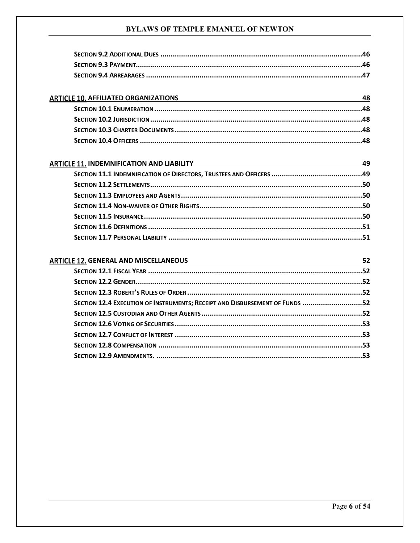| <b>ARTICLE 10. AFFILIATED ORGANIZATIONS</b> |  |
|---------------------------------------------|--|
|                                             |  |
|                                             |  |
|                                             |  |
|                                             |  |

| <b>ARTICLE 11. INDEMNIFICATION AND LIABILITY</b> | 49 |
|--------------------------------------------------|----|
|                                                  |    |
|                                                  |    |
|                                                  |    |
|                                                  |    |
|                                                  |    |
|                                                  |    |
|                                                  |    |

| <b>ARTICLE 12. GENERAL AND MISCELLANEOUS</b>                                |  |
|-----------------------------------------------------------------------------|--|
|                                                                             |  |
|                                                                             |  |
|                                                                             |  |
| SECTION 12.4 EXECUTION OF INSTRUMENTS; RECEIPT AND DISBURSEMENT OF FUNDS 52 |  |
|                                                                             |  |
|                                                                             |  |
|                                                                             |  |
|                                                                             |  |
|                                                                             |  |
|                                                                             |  |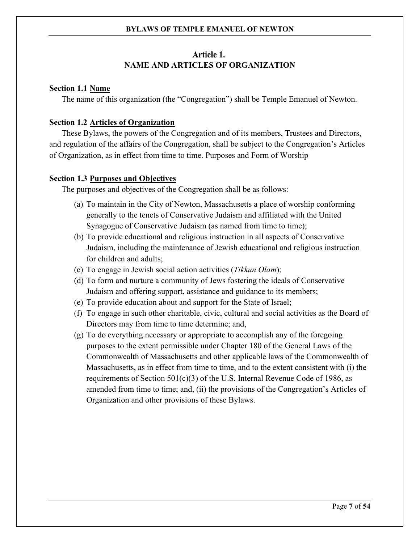# Article 1. **NAME AND ARTICLES OF ORGANIZATION**

# <span id="page-6-1"></span><span id="page-6-0"></span>**Section 1.1 Name**

The name of this organization (the "Congregation") shall be Temple Emanuel of Newton.

# <span id="page-6-2"></span>**Section 1.2 Articles of Organization**

These Bylaws, the powers of the Congregation and of its members, Trustees and Directors, and regulation of the affairs of the Congregation, shall be subject to the Congregation's Articles of Organization, as in effect from time to time. Purposes and Form of Worship

# <span id="page-6-3"></span>**Section 1.3 Purposes and Objectives**

The purposes and objectives of the Congregation shall be as follows:

- (a) To maintain in the City of Newton, Massachusetts a place of worship conforming generally to the tenets of Conservative Judaism and affiliated with the United Synagogue of Conservative Judaism (as named from time to time);
- (b) To provide educational and religious instruction in all aspects of Conservative Judaism, including the maintenance of Jewish educational and religious instruction for children and adults;
- (c) To engage in Jewish social action activities (*Tikkun Olam*);
- (d) To form and nurture a community of Jews fostering the ideals of Conservative Judaism and offering support, assistance and guidance to its members;
- (e) To provide education about and support for the State of Israel;
- (f) To engage in such other charitable, civic, cultural and social activities as the Board of Directors may from time to time determine; and,
- (g) To do everything necessary or appropriate to accomplish any of the foregoing purposes to the extent permissible under Chapter 180 of the General Laws of the Commonwealth of Massachusetts and other applicable laws of the Commonwealth of Massachusetts, as in effect from time to time, and to the extent consistent with (i) the requirements of Section  $501(c)(3)$  of the U.S. Internal Revenue Code of 1986, as amended from time to time; and, (ii) the provisions of the Congregation's Articles of Organization and other provisions of these Bylaws.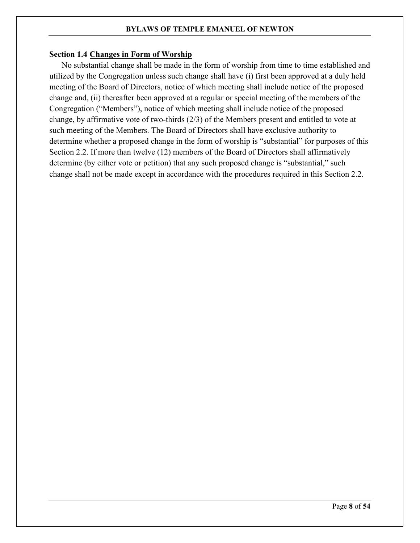# <span id="page-7-0"></span>**Section 1.4 Changes in Form of Worship**

No substantial change shall be made in the form of worship from time to time established and utilized by the Congregation unless such change shall have (i) first been approved at a duly held meeting of the Board of Directors, notice of which meeting shall include notice of the proposed change and, (ii) thereafter been approved at a regular or special meeting of the members of the Congregation ("Members"), notice of which meeting shall include notice of the proposed change, by affirmative vote of two-thirds (2/3) of the Members present and entitled to vote at such meeting of the Members. The Board of Directors shall have exclusive authority to determine whether a proposed change in the form of worship is "substantial" for purposes of this Section 2.2. If more than twelve (12) members of the Board of Directors shall affirmatively determine (by either vote or petition) that any such proposed change is "substantial," such change shall not be made except in accordance with the procedures required in this Section 2.2.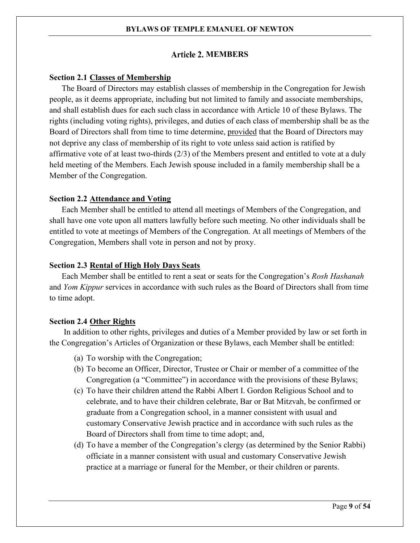# **Article 2. MEMBERS**

#### <span id="page-8-1"></span><span id="page-8-0"></span>**Section 2.1 Classes of Membership**

The Board of Directors may establish classes of membership in the Congregation for Jewish people, as it deems appropriate, including but not limited to family and associate memberships, and shall establish dues for each such class in accordance with Article 10 of these Bylaws. The rights (including voting rights), privileges, and duties of each class of membership shall be as the Board of Directors shall from time to time determine, provided that the Board of Directors may not deprive any class of membership of its right to vote unless said action is ratified by affirmative vote of at least two-thirds (2/3) of the Members present and entitled to vote at a duly held meeting of the Members. Each Jewish spouse included in a family membership shall be a Member of the Congregation.

#### <span id="page-8-2"></span>**Section 2.2 Attendance and Voting**

Each Member shall be entitled to attend all meetings of Members of the Congregation, and shall have one vote upon all matters lawfully before such meeting. No other individuals shall be entitled to vote at meetings of Members of the Congregation. At all meetings of Members of the Congregation, Members shall vote in person and not by proxy.

#### <span id="page-8-3"></span>**Section 2.3 Rental of High Holy Days Seats**

Each Member shall be entitled to rent a seat or seats for the Congregation's *Rosh Hashanah* and *Yom Kippur* services in accordance with such rules as the Board of Directors shall from time to time adopt.

# <span id="page-8-4"></span>**Section 2.4 Other Rights**

In addition to other rights, privileges and duties of a Member provided by law or set forth in the Congregation's Articles of Organization or these Bylaws, each Member shall be entitled:

- (a) To worship with the Congregation;
- (b) To become an Officer, Director, Trustee or Chair or member of a committee of the Congregation (a "Committee") in accordance with the provisions of these Bylaws;
- (c) To have their children attend the Rabbi Albert I. Gordon Religious School and to celebrate, and to have their children celebrate, Bar or Bat Mitzvah, be confirmed or graduate from a Congregation school, in a manner consistent with usual and customary Conservative Jewish practice and in accordance with such rules as the Board of Directors shall from time to time adopt; and,
- (d) To have a member of the Congregation's clergy (as determined by the Senior Rabbi) officiate in a manner consistent with usual and customary Conservative Jewish practice at a marriage or funeral for the Member, or their children or parents.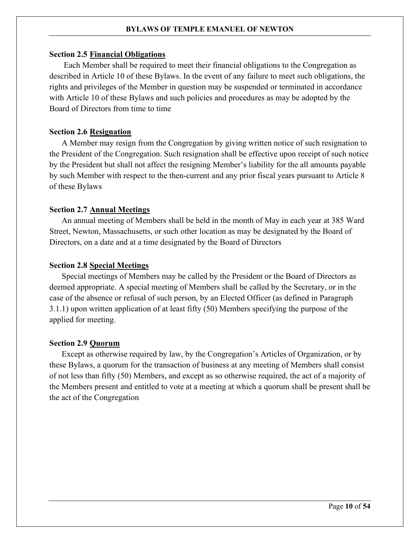#### <span id="page-9-0"></span>**Section 2.5 Financial Obligations**

Each Member shall be required to meet their financial obligations to the Congregation as described in Article 10 of these Bylaws. In the event of any failure to meet such obligations, the rights and privileges of the Member in question may be suspended or terminated in accordance with Article 10 of these Bylaws and such policies and procedures as may be adopted by the Board of Directors from time to time

# <span id="page-9-1"></span>**Section 2.6 Resignation**

A Member may resign from the Congregation by giving written notice of such resignation to the President of the Congregation. Such resignation shall be effective upon receipt of such notice by the President but shall not affect the resigning Member's liability for the all amounts payable by such Member with respect to the then-current and any prior fiscal years pursuant to Article 8 of these Bylaws

#### <span id="page-9-2"></span>**Section 2.7 Annual Meetings**

An annual meeting of Members shall be held in the month of May in each year at 385 Ward Street, Newton, Massachusetts, or such other location as may be designated by the Board of Directors, on a date and at a time designated by the Board of Directors

#### <span id="page-9-3"></span>**Section 2.8 Special Meetings**

Special meetings of Members may be called by the President or the Board of Directors as deemed appropriate. A special meeting of Members shall be called by the Secretary, or in the case of the absence or refusal of such person, by an Elected Officer (as defined in [Paragraph](#page-11-3)  [3.1.1\)](#page-11-3) upon written application of at least fifty (50) Members specifying the purpose of the applied for meeting.

#### <span id="page-9-4"></span>**Section 2.9 Quorum**

Except as otherwise required by law, by the Congregation's Articles of Organization, or by these Bylaws, a quorum for the transaction of business at any meeting of Members shall consist of not less than fifty (50) Members, and except as so otherwise required, the act of a majority of the Members present and entitled to vote at a meeting at which a quorum shall be present shall be the act of the Congregation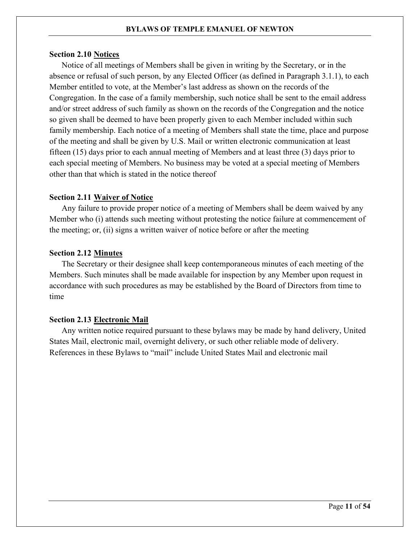#### <span id="page-10-0"></span>**Section 2.10 Notices**

Notice of all meetings of Members shall be given in writing by the Secretary, or in the absence or refusal of such person, by any Elected Officer (as defined in [Paragraph 3.1.1\)](#page-11-3), to each Member entitled to vote, at the Member's last address as shown on the records of the Congregation. In the case of a family membership, such notice shall be sent to the email address and/or street address of such family as shown on the records of the Congregation and the notice so given shall be deemed to have been properly given to each Member included within such family membership. Each notice of a meeting of Members shall state the time, place and purpose of the meeting and shall be given by U.S. Mail or written electronic communication at least fifteen (15) days prior to each annual meeting of Members and at least three (3) days prior to each special meeting of Members. No business may be voted at a special meeting of Members other than that which is stated in the notice thereof

# <span id="page-10-1"></span>**Section 2.11 Waiver of Notice**

Any failure to provide proper notice of a meeting of Members shall be deem waived by any Member who (i) attends such meeting without protesting the notice failure at commencement of the meeting; or, (ii) signs a written waiver of notice before or after the meeting

# <span id="page-10-2"></span>**Section 2.12 Minutes**

The Secretary or their designee shall keep contemporaneous minutes of each meeting of the Members. Such minutes shall be made available for inspection by any Member upon request in accordance with such procedures as may be established by the Board of Directors from time to time

# <span id="page-10-3"></span>**Section 2.13 Electronic Mail**

Any written notice required pursuant to these bylaws may be made by hand delivery, United States Mail, electronic mail, overnight delivery, or such other reliable mode of delivery. References in these Bylaws to "mail" include United States Mail and electronic mail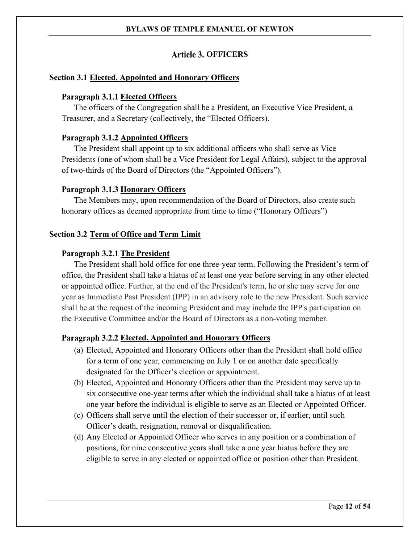# **Article 3. OFFICERS**

# <span id="page-11-3"></span><span id="page-11-1"></span><span id="page-11-0"></span>**Section 3.1 Elected, Appointed and Honorary Officers**

# Paragraph 3.1.1 Elected Officers

The officers of the Congregation shall be a President, an Executive Vice President, a Treasurer, and a Secretary (collectively, the "Elected Officers).

# Paragraph 3.1.2 **Appointed Officers**

The President shall appoint up to six additional officers who shall serve as Vice Presidents (one of whom shall be a Vice President for Legal Affairs), subject to the approval of two-thirds of the Board of Directors (the "Appointed Officers").

# Paragraph 3.1.3 Honorary Officers

The Members may, upon recommendation of the Board of Directors, also create such honorary offices as deemed appropriate from time to time ("Honorary Officers")

# <span id="page-11-2"></span>**Section 3.2 Term of Office and Term Limit**

# Paragraph 3.2.1 The President

The President shall hold office for one three-year term. Following the President's term of office, the President shall take a hiatus of at least one year before serving in any other elected or appointed office. Further, at the end of the President's term, he or she may serve for one year as Immediate Past President (IPP) in an advisory role to the new President. Such service shall be at the request of the incoming President and may include the IPP's participation on the Executive Committee and/or the Board of Directors as a non-voting member.

# **Elected, Appointed and Honorary Officers**

- (a) Elected, Appointed and Honorary Officers other than the President shall hold office for a term of one year, commencing on July 1 or on another date specifically designated for the Officer's election or appointment.
- (b) Elected, Appointed and Honorary Officers other than the President may serve up to six consecutive one-year terms after which the individual shall take a hiatus of at least one year before the individual is eligible to serve as an Elected or Appointed Officer.
- (c) Officers shall serve until the election of their successor or, if earlier, until such Officer's death, resignation, removal or disqualification.
- (d) Any Elected or Appointed Officer who serves in any position or a combination of positions, for nine consecutive years shall take a one year hiatus before they are eligible to serve in any elected or appointed office or position other than President.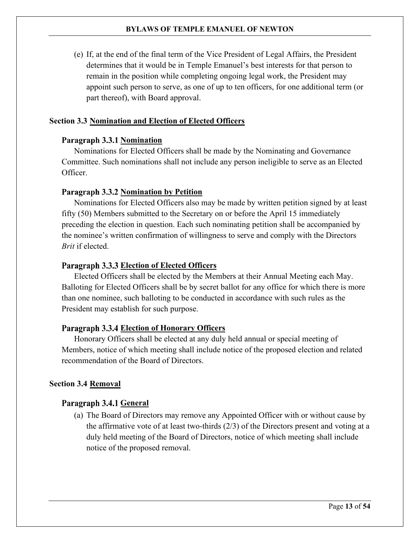(e) If, at the end of the final term of the Vice President of Legal Affairs, the President determines that it would be in Temple Emanuel's best interests for that person to remain in the position while completing ongoing legal work, the President may appoint such person to serve, as one of up to ten officers, for one additional term (or part thereof), with Board approval.

# <span id="page-12-0"></span>**Section 3.3 Nomination and Election of Elected Officers**

# **Paragraph 3.3.1 Nomination**

Nominations for Elected Officers shall be made by the Nominating and Governance Committee. Such nominations shall not include any person ineligible to serve as an Elected Officer.

# **Paragraph 3.3.2 Nomination by Petition**

Nominations for Elected Officers also may be made by written petition signed by at least fifty (50) Members submitted to the Secretary on or before the April 15 immediately preceding the election in question. Each such nominating petition shall be accompanied by the nominee's written confirmation of willingness to serve and comply with the Directors *Brit* if elected.

# Paragraph 3.3.3 Election of Elected Officers

Elected Officers shall be elected by the Members at their Annual Meeting each May. Balloting for Elected Officers shall be by secret ballot for any office for which there is more than one nominee, such balloting to be conducted in accordance with such rules as the President may establish for such purpose.

# **Paragraph 3.3.4 Election of Honorary Officers**

Honorary Officers shall be elected at any duly held annual or special meeting of Members, notice of which meeting shall include notice of the proposed election and related recommendation of the Board of Directors.

# <span id="page-12-1"></span>**Section 3.4 Removal**

# Paragraph 3.4.1 General

(a) The Board of Directors may remove any Appointed Officer with or without cause by the affirmative vote of at least two-thirds (2/3) of the Directors present and voting at a duly held meeting of the Board of Directors, notice of which meeting shall include notice of the proposed removal.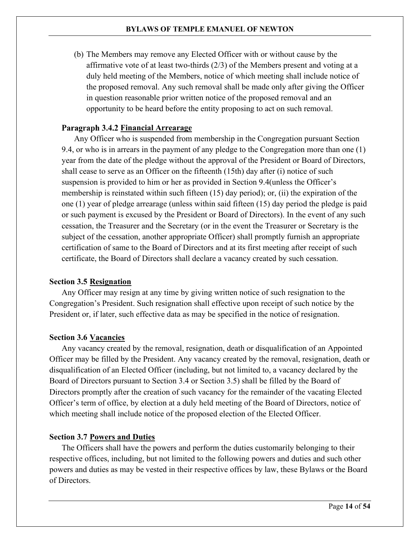(b) The Members may remove any Elected Officer with or without cause by the affirmative vote of at least two-thirds  $(2/3)$  of the Members present and voting at a duly held meeting of the Members, notice of which meeting shall include notice of the proposed removal. Any such removal shall be made only after giving the Officer in question reasonable prior written notice of the proposed removal and an opportunity to be heard before the entity proposing to act on such removal.

# **Financial Arrearage**

Any Officer who is suspended from membership in the Congregation pursuant [Section](#page-46-0)  [9.4,](#page-46-0) or who is in arrears in the payment of any pledge to the Congregation more than one (1) year from the date of the pledge without the approval of the President or Board of Directors, shall cease to serve as an Officer on the fifteenth (15th) day after (i) notice of such suspension is provided to him or her as provided in [Section 9.4\(](#page-46-0)unless the Officer's membership is reinstated within such fifteen (15) day period); or, (ii) the expiration of the one (1) year of pledge arrearage (unless within said fifteen (15) day period the pledge is paid or such payment is excused by the President or Board of Directors). In the event of any such cessation, the Treasurer and the Secretary (or in the event the Treasurer or Secretary is the subject of the cessation, another appropriate Officer) shall promptly furnish an appropriate certification of same to the Board of Directors and at its first meeting after receipt of such certificate, the Board of Directors shall declare a vacancy created by such cessation.

#### <span id="page-13-0"></span>**Section 3.5 Resignation**

Any Officer may resign at any time by giving written notice of such resignation to the Congregation's President. Such resignation shall effective upon receipt of such notice by the President or, if later, such effective data as may be specified in the notice of resignation.

# <span id="page-13-1"></span>**Section 3.6 Vacancies**

Any vacancy created by the removal, resignation, death or disqualification of an Appointed Officer may be filled by the President. Any vacancy created by the removal, resignation, death or disqualification of an Elected Officer (including, but not limited to, a vacancy declared by the Board of Directors pursuant to [Section 3.4](#page-12-1) or [Section 3.5\)](#page-13-0) shall be filled by the Board of Directors promptly after the creation of such vacancy for the remainder of the vacating Elected Officer's term of office, by election at a duly held meeting of the Board of Directors, notice of which meeting shall include notice of the proposed election of the Elected Officer.

# <span id="page-13-2"></span>**Section 3.7 Powers and Duties**

The Officers shall have the powers and perform the duties customarily belonging to their respective offices, including, but not limited to the following powers and duties and such other powers and duties as may be vested in their respective offices by law, these Bylaws or the Board of Directors.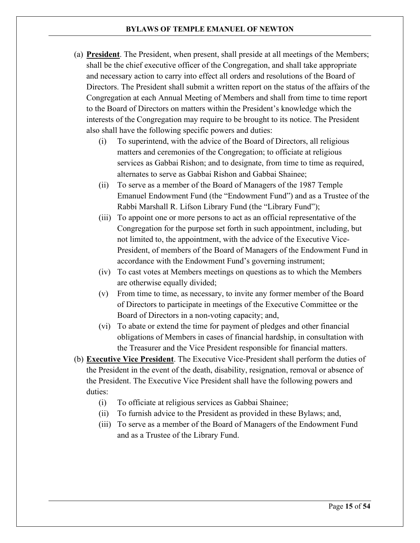- (a) **President**. The President, when present, shall preside at all meetings of the Members; shall be the chief executive officer of the Congregation, and shall take appropriate and necessary action to carry into effect all orders and resolutions of the Board of Directors. The President shall submit a written report on the status of the affairs of the Congregation at each Annual Meeting of Members and shall from time to time report to the Board of Directors on matters within the President's knowledge which the interests of the Congregation may require to be brought to its notice. The President also shall have the following specific powers and duties:
	- (i) To superintend, with the advice of the Board of Directors, all religious matters and ceremonies of the Congregation; to officiate at religious services as Gabbai Rishon; and to designate, from time to time as required, alternates to serve as Gabbai Rishon and Gabbai Shainee;
	- (ii) To serve as a member of the Board of Managers of the 1987 Temple Emanuel Endowment Fund (the "Endowment Fund") and as a Trustee of the Rabbi Marshall R. Lifson Library Fund (the "Library Fund");
	- (iii) To appoint one or more persons to act as an official representative of the Congregation for the purpose set forth in such appointment, including, but not limited to, the appointment, with the advice of the Executive Vice-President, of members of the Board of Managers of the Endowment Fund in accordance with the Endowment Fund's governing instrument;
	- (iv) To cast votes at Members meetings on questions as to which the Members are otherwise equally divided;
	- (v) From time to time, as necessary, to invite any former member of the Board of Directors to participate in meetings of the Executive Committee or the Board of Directors in a non-voting capacity; and,
	- (vi) To abate or extend the time for payment of pledges and other financial obligations of Members in cases of financial hardship, in consultation with the Treasurer and the Vice President responsible for financial matters.
- <span id="page-14-0"></span>(b) **Executive Vice President**. The Executive Vice-President shall perform the duties of the President in the event of the death, disability, resignation, removal or absence of the President. The Executive Vice President shall have the following powers and duties:
	- (i) To officiate at religious services as Gabbai Shainee;
	- (ii) To furnish advice to the President as provided in these Bylaws; and,
	- (iii) To serve as a member of the Board of Managers of the Endowment Fund and as a Trustee of the Library Fund.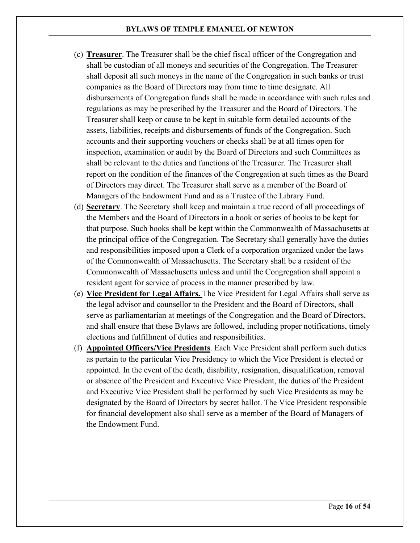- (c) **Treasurer**. The Treasurer shall be the chief fiscal officer of the Congregation and shall be custodian of all moneys and securities of the Congregation. The Treasurer shall deposit all such moneys in the name of the Congregation in such banks or trust companies as the Board of Directors may from time to time designate. All disbursements of Congregation funds shall be made in accordance with such rules and regulations as may be prescribed by the Treasurer and the Board of Directors. The Treasurer shall keep or cause to be kept in suitable form detailed accounts of the assets, liabilities, receipts and disbursements of funds of the Congregation. Such accounts and their supporting vouchers or checks shall be at all times open for inspection, examination or audit by the Board of Directors and such Committees as shall be relevant to the duties and functions of the Treasurer. The Treasurer shall report on the condition of the finances of the Congregation at such times as the Board of Directors may direct. The Treasurer shall serve as a member of the Board of Managers of the Endowment Fund and as a Trustee of the Library Fund.
- (d) **Secretary**. The Secretary shall keep and maintain a true record of all proceedings of the Members and the Board of Directors in a book or series of books to be kept for that purpose. Such books shall be kept within the Commonwealth of Massachusetts at the principal office of the Congregation. The Secretary shall generally have the duties and responsibilities imposed upon a Clerk of a corporation organized under the laws of the Commonwealth of Massachusetts. The Secretary shall be a resident of the Commonwealth of Massachusetts unless and until the Congregation shall appoint a resident agent for service of process in the manner prescribed by law.
- (e) **Vice President for Legal Affairs.** The Vice President for Legal Affairs shall serve as the legal advisor and counsellor to the President and the Board of Directors, shall serve as parliamentarian at meetings of the Congregation and the Board of Directors, and shall ensure that these Bylaws are followed, including proper notifications, timely elections and fulfillment of duties and responsibilities.
- (f) **Appointed Officers/Vice Presidents**. Each Vice President shall perform such duties as pertain to the particular Vice Presidency to which the Vice President is elected or appointed. In the event of the death, disability, resignation, disqualification, removal or absence of the President and Executive Vice President, the duties of the President and Executive Vice President shall be performed by such Vice Presidents as may be designated by the Board of Directors by secret ballot. The Vice President responsible for financial development also shall serve as a member of the Board of Managers of the Endowment Fund.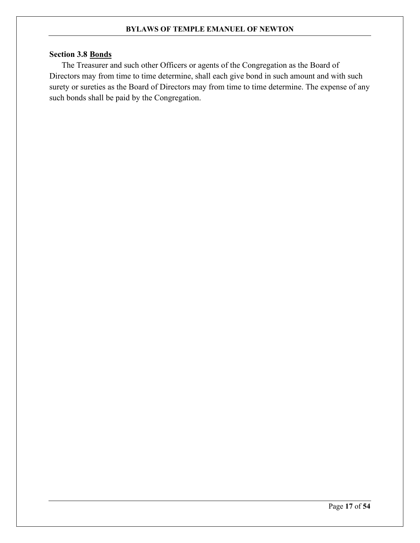# <span id="page-16-0"></span>**Section 3.8 Bonds**

The Treasurer and such other Officers or agents of the Congregation as the Board of Directors may from time to time determine, shall each give bond in such amount and with such surety or sureties as the Board of Directors may from time to time determine. The expense of any such bonds shall be paid by the Congregation.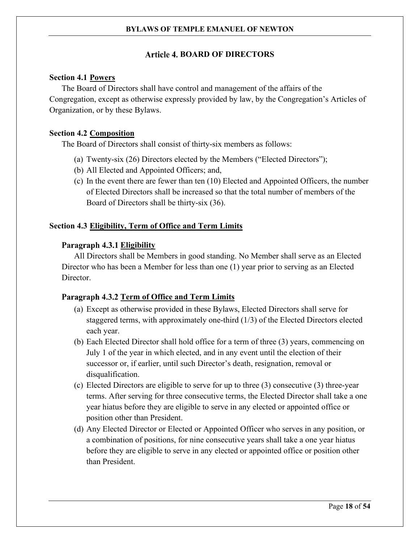# **Article 4. BOARD OF DIRECTORS**

# <span id="page-17-1"></span><span id="page-17-0"></span>**Section 4.1 Powers**

The Board of Directors shall have control and management of the affairs of the Congregation, except as otherwise expressly provided by law, by the Congregation's Articles of Organization, or by these Bylaws.

# <span id="page-17-2"></span>**Section 4.2 Composition**

The Board of Directors shall consist of thirty-six members as follows:

- (a) Twenty-six (26) Directors elected by the Members ("Elected Directors");
- (b) All Elected and Appointed Officers; and,
- (c) In the event there are fewer than ten (10) Elected and Appointed Officers, the number of Elected Directors shall be increased so that the total number of members of the Board of Directors shall be thirty-six (36).

# <span id="page-17-3"></span>**Section 4.3 Eligibility, Term of Office and Term Limits**

# Paragraph 4.3.1 Eligibility

All Directors shall be Members in good standing. No Member shall serve as an Elected Director who has been a Member for less than one (1) year prior to serving as an Elected Director.

# Paragraph 4.3.2 Term of Office and Term Limits

- (a) Except as otherwise provided in these Bylaws, Elected Directors shall serve for staggered terms, with approximately one-third (1/3) of the Elected Directors elected each year.
- (b) Each Elected Director shall hold office for a term of three (3) years, commencing on July 1 of the year in which elected, and in any event until the election of their successor or, if earlier, until such Director's death, resignation, removal or disqualification.
- (c) Elected Directors are eligible to serve for up to three (3) consecutive (3) three-year terms. After serving for three consecutive terms, the Elected Director shall take a one year hiatus before they are eligible to serve in any elected or appointed office or position other than President.
- (d) Any Elected Director or Elected or Appointed Officer who serves in any position, or a combination of positions, for nine consecutive years shall take a one year hiatus before they are eligible to serve in any elected or appointed office or position other than President.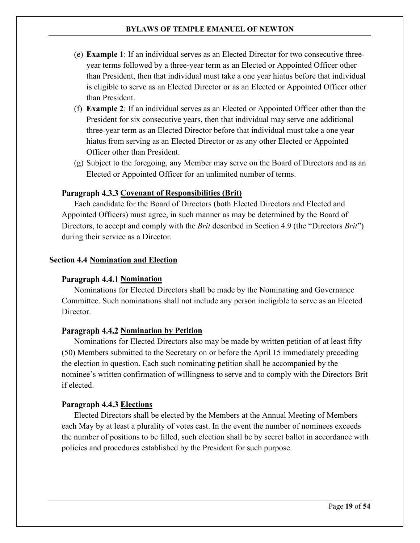- (e) **Example 1**: If an individual serves as an Elected Director for two consecutive threeyear terms followed by a three-year term as an Elected or Appointed Officer other than President, then that individual must take a one year hiatus before that individual is eligible to serve as an Elected Director or as an Elected or Appointed Officer other than President.
- (f) **Example 2**: If an individual serves as an Elected or Appointed Officer other than the President for six consecutive years, then that individual may serve one additional three-year term as an Elected Director before that individual must take a one year hiatus from serving as an Elected Director or as any other Elected or Appointed Officer other than President.
- (g) Subject to the foregoing, any Member may serve on the Board of Directors and as an Elected or Appointed Officer for an unlimited number of terms.

# Paragraph 4.3.3 Covenant of Responsibilities (Brit)

Each candidate for the Board of Directors (both Elected Directors and Elected and Appointed Officers) must agree, in such manner as may be determined by the Board of Directors, to accept and comply with the *Brit* described in [Section 4.9](#page-20-0) (the "Directors *Brit*") during their service as a Director.

# <span id="page-18-0"></span>**Section 4.4 Nomination and Election**

# **Paragraph 4.4.1 Nomination**

Nominations for Elected Directors shall be made by the Nominating and Governance Committee. Such nominations shall not include any person ineligible to serve as an Elected Director.

# **Paragraph 4.4.2 Nomination by Petition**

Nominations for Elected Directors also may be made by written petition of at least fifty (50) Members submitted to the Secretary on or before the April 15 immediately preceding the election in question. Each such nominating petition shall be accompanied by the nominee's written confirmation of willingness to serve and to comply with the Directors Brit if elected.

# **Paragraph 4.4.3 Elections**

Elected Directors shall be elected by the Members at the Annual Meeting of Members each May by at least a plurality of votes cast. In the event the number of nominees exceeds the number of positions to be filled, such election shall be by secret ballot in accordance with policies and procedures established by the President for such purpose.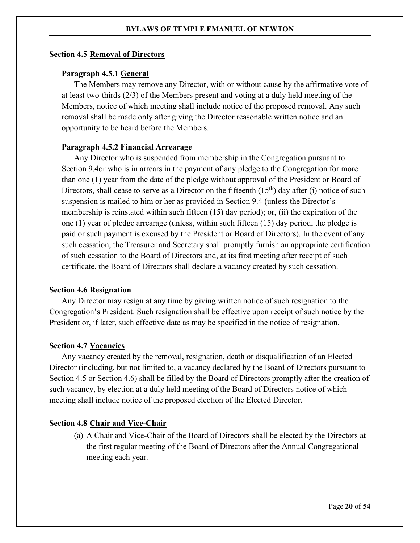# <span id="page-19-0"></span>**Section 4.5 Removal of Directors**

# Paragraph 4.5.1 General

The Members may remove any Director, with or without cause by the affirmative vote of at least two-thirds (2/3) of the Members present and voting at a duly held meeting of the Members, notice of which meeting shall include notice of the proposed removal. Any such removal shall be made only after giving the Director reasonable written notice and an opportunity to be heard before the Members.

# Paragraph 4.5.2 Financial Arrearage

Any Director who is suspended from membership in the Congregation pursuant to [Section 9.4o](#page-46-0)r who is in arrears in the payment of any pledge to the Congregation for more than one (1) year from the date of the pledge without approval of the President or Board of Directors, shall cease to serve as a Director on the fifteenth  $(15<sup>th</sup>)$  day after (i) notice of such suspension is mailed to him or her as provided in [Section 9.4](#page-46-0) (unless the Director's membership is reinstated within such fifteen (15) day period); or, (ii) the expiration of the one (1) year of pledge arrearage (unless, within such fifteen (15) day period, the pledge is paid or such payment is excused by the President or Board of Directors). In the event of any such cessation, the Treasurer and Secretary shall promptly furnish an appropriate certification of such cessation to the Board of Directors and, at its first meeting after receipt of such certificate, the Board of Directors shall declare a vacancy created by such cessation.

#### <span id="page-19-1"></span>**Section 4.6 Resignation**

Any Director may resign at any time by giving written notice of such resignation to the Congregation's President. Such resignation shall be effective upon receipt of such notice by the President or, if later, such effective date as may be specified in the notice of resignation.

#### <span id="page-19-2"></span>**Section 4.7 Vacancies**

Any vacancy created by the removal, resignation, death or disqualification of an Elected Director (including, but not limited to, a vacancy declared by the Board of Directors pursuant to [Section 4.5](#page-19-0) or [Section 4.6\)](#page-19-1) shall be filled by the Board of Directors promptly after the creation of such vacancy, by election at a duly held meeting of the Board of Directors notice of which meeting shall include notice of the proposed election of the Elected Director.

# <span id="page-19-3"></span>**Section 4.8 Chair and Vice-Chair**

(a) A Chair and Vice-Chair of the Board of Directors shall be elected by the Directors at the first regular meeting of the Board of Directors after the Annual Congregational meeting each year.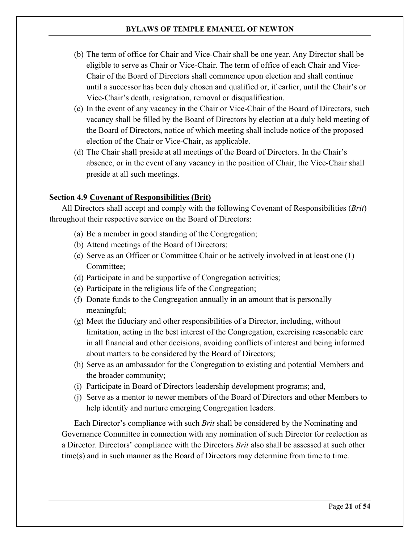- (b) The term of office for Chair and Vice-Chair shall be one year. Any Director shall be eligible to serve as Chair or Vice-Chair. The term of office of each Chair and Vice-Chair of the Board of Directors shall commence upon election and shall continue until a successor has been duly chosen and qualified or, if earlier, until the Chair's or Vice-Chair's death, resignation, removal or disqualification.
- (c) In the event of any vacancy in the Chair or Vice-Chair of the Board of Directors, such vacancy shall be filled by the Board of Directors by election at a duly held meeting of the Board of Directors, notice of which meeting shall include notice of the proposed election of the Chair or Vice-Chair, as applicable.
- (d) The Chair shall preside at all meetings of the Board of Directors. In the Chair's absence, or in the event of any vacancy in the position of Chair, the Vice-Chair shall preside at all such meetings.

# <span id="page-20-0"></span>**Section 4.9 Covenant of Responsibilities (Brit)**

All Directors shall accept and comply with the following Covenant of Responsibilities (*Brit*) throughout their respective service on the Board of Directors:

- (a) Be a member in good standing of the Congregation;
- (b) Attend meetings of the Board of Directors;
- (c) Serve as an Officer or Committee Chair or be actively involved in at least one (1) Committee;
- (d) Participate in and be supportive of Congregation activities;
- (e) Participate in the religious life of the Congregation;
- (f) Donate funds to the Congregation annually in an amount that is personally meaningful;
- (g) Meet the fiduciary and other responsibilities of a Director, including, without limitation, acting in the best interest of the Congregation, exercising reasonable care in all financial and other decisions, avoiding conflicts of interest and being informed about matters to be considered by the Board of Directors;
- (h) Serve as an ambassador for the Congregation to existing and potential Members and the broader community;
- (i) Participate in Board of Directors leadership development programs; and,
- (j) Serve as a mentor to newer members of the Board of Directors and other Members to help identify and nurture emerging Congregation leaders.

Each Director's compliance with such *Brit* shall be considered by the Nominating and Governance Committee in connection with any nomination of such Director for reelection as a Director. Directors' compliance with the Directors *Brit* also shall be assessed at such other time(s) and in such manner as the Board of Directors may determine from time to time.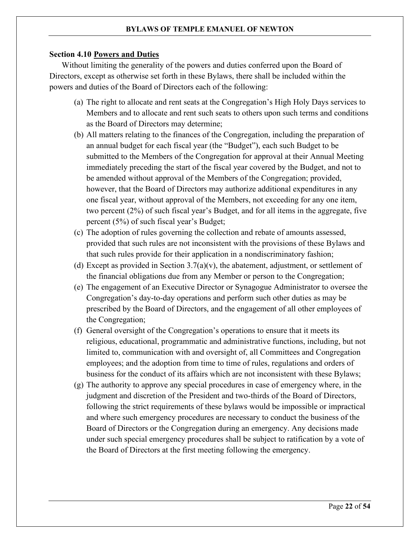# <span id="page-21-0"></span>**Section 4.10 Powers and Duties**

Without limiting the generality of the powers and duties conferred upon the Board of Directors, except as otherwise set forth in these Bylaws, there shall be included within the powers and duties of the Board of Directors each of the following:

- (a) The right to allocate and rent seats at the Congregation's High Holy Days services to Members and to allocate and rent such seats to others upon such terms and conditions as the Board of Directors may determine;
- (b) All matters relating to the finances of the Congregation, including the preparation of an annual budget for each fiscal year (the "Budget"), each such Budget to be submitted to the Members of the Congregation for approval at their Annual Meeting immediately preceding the start of the fiscal year covered by the Budget, and not to be amended without approval of the Members of the Congregation; provided, however, that the Board of Directors may authorize additional expenditures in any one fiscal year, without approval of the Members, not exceeding for any one item, two percent (2%) of such fiscal year's Budget, and for all items in the aggregate, five percent (5%) of such fiscal year's Budget;
- (c) The adoption of rules governing the collection and rebate of amounts assessed, provided that such rules are not inconsistent with the provisions of these Bylaws and that such rules provide for their application in a nondiscriminatory fashion;
- (d) Except as provided in Section  $3.7(a)(v)$ , the abatement, adjustment, or settlement of the financial obligations due from any Member or person to the Congregation;
- (e) The engagement of an Executive Director or Synagogue Administrator to oversee the Congregation's day-to-day operations and perform such other duties as may be prescribed by the Board of Directors, and the engagement of all other employees of the Congregation;
- (f) General oversight of the Congregation's operations to ensure that it meets its religious, educational, programmatic and administrative functions, including, but not limited to, communication with and oversight of, all Committees and Congregation employees; and the adoption from time to time of rules, regulations and orders of business for the conduct of its affairs which are not inconsistent with these Bylaws;
- (g) The authority to approve any special procedures in case of emergency where, in the judgment and discretion of the President and two-thirds of the Board of Directors, following the strict requirements of these bylaws would be impossible or impractical and where such emergency procedures are necessary to conduct the business of the Board of Directors or the Congregation during an emergency. Any decisions made under such special emergency procedures shall be subject to ratification by a vote of the Board of Directors at the first meeting following the emergency.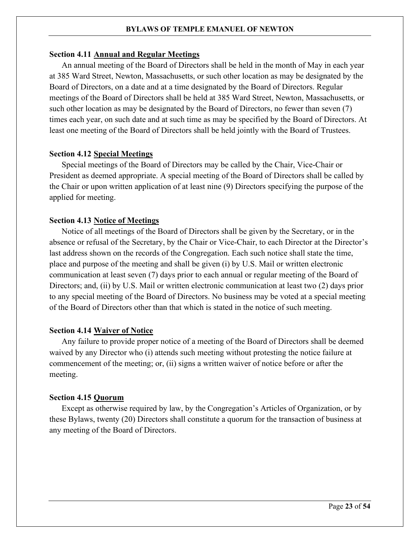#### <span id="page-22-0"></span>**Section 4.11 Annual and Regular Meetings**

An annual meeting of the Board of Directors shall be held in the month of May in each year at 385 Ward Street, Newton, Massachusetts, or such other location as may be designated by the Board of Directors, on a date and at a time designated by the Board of Directors. Regular meetings of the Board of Directors shall be held at 385 Ward Street, Newton, Massachusetts, or such other location as may be designated by the Board of Directors, no fewer than seven (7) times each year, on such date and at such time as may be specified by the Board of Directors. At least one meeting of the Board of Directors shall be held jointly with the Board of Trustees.

#### <span id="page-22-1"></span>**Section 4.12 Special Meetings**

Special meetings of the Board of Directors may be called by the Chair, Vice-Chair or President as deemed appropriate. A special meeting of the Board of Directors shall be called by the Chair or upon written application of at least nine (9) Directors specifying the purpose of the applied for meeting.

#### <span id="page-22-2"></span>**Section 4.13 Notice of Meetings**

Notice of all meetings of the Board of Directors shall be given by the Secretary, or in the absence or refusal of the Secretary, by the Chair or Vice-Chair, to each Director at the Director's last address shown on the records of the Congregation. Each such notice shall state the time, place and purpose of the meeting and shall be given (i) by U.S. Mail or written electronic communication at least seven (7) days prior to each annual or regular meeting of the Board of Directors; and, (ii) by U.S. Mail or written electronic communication at least two (2) days prior to any special meeting of the Board of Directors. No business may be voted at a special meeting of the Board of Directors other than that which is stated in the notice of such meeting.

#### <span id="page-22-3"></span>**Section 4.14 Waiver of Notice**

Any failure to provide proper notice of a meeting of the Board of Directors shall be deemed waived by any Director who (i) attends such meeting without protesting the notice failure at commencement of the meeting; or, (ii) signs a written waiver of notice before or after the meeting.

# <span id="page-22-4"></span>**Section 4.15 Quorum**

Except as otherwise required by law, by the Congregation's Articles of Organization, or by these Bylaws, twenty (20) Directors shall constitute a quorum for the transaction of business at any meeting of the Board of Directors.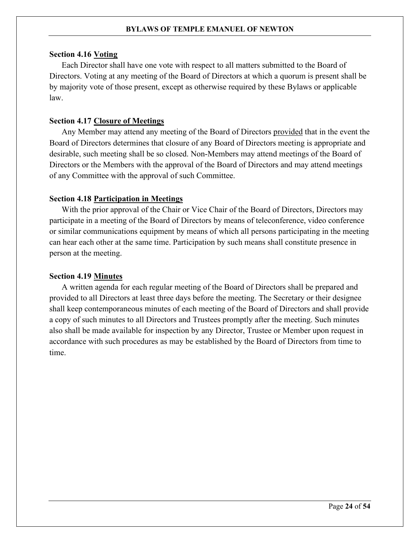#### <span id="page-23-0"></span>**Section 4.16 Voting**

Each Director shall have one vote with respect to all matters submitted to the Board of Directors. Voting at any meeting of the Board of Directors at which a quorum is present shall be by majority vote of those present, except as otherwise required by these Bylaws or applicable law.

# <span id="page-23-1"></span>**Section 4.17 Closure of Meetings**

Any Member may attend any meeting of the Board of Directors provided that in the event the Board of Directors determines that closure of any Board of Directors meeting is appropriate and desirable, such meeting shall be so closed. Non-Members may attend meetings of the Board of Directors or the Members with the approval of the Board of Directors and may attend meetings of any Committee with the approval of such Committee.

#### <span id="page-23-2"></span>**Section 4.18 Participation in Meetings**

With the prior approval of the Chair or Vice Chair of the Board of Directors, Directors may participate in a meeting of the Board of Directors by means of teleconference, video conference or similar communications equipment by means of which all persons participating in the meeting can hear each other at the same time. Participation by such means shall constitute presence in person at the meeting.

#### <span id="page-23-3"></span>**Section 4.19 Minutes**

A written agenda for each regular meeting of the Board of Directors shall be prepared and provided to all Directors at least three days before the meeting. The Secretary or their designee shall keep contemporaneous minutes of each meeting of the Board of Directors and shall provide a copy of such minutes to all Directors and Trustees promptly after the meeting. Such minutes also shall be made available for inspection by any Director, Trustee or Member upon request in accordance with such procedures as may be established by the Board of Directors from time to time.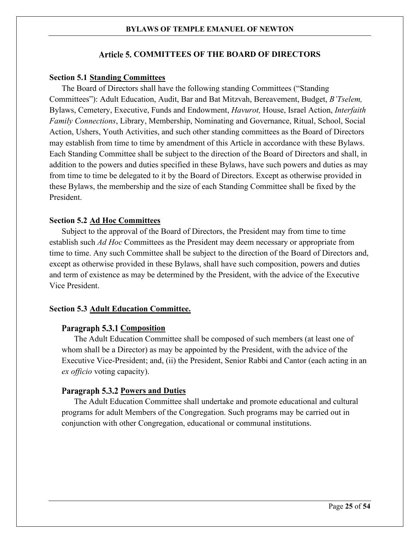# **Article 5. COMMITTEES OF THE BOARD OF DIRECTORS**

# <span id="page-24-1"></span><span id="page-24-0"></span>**Section 5.1 Standing Committees**

The Board of Directors shall have the following standing Committees ("Standing Committees"): Adult Education, Audit, Bar and Bat Mitzvah, Bereavement, Budget, *B'Tselem,* Bylaws, Cemetery, Executive, Funds and Endowment, *Havurot,* House, Israel Action, *Interfaith Family Connections*, Library, Membership, Nominating and Governance, Ritual, School, Social Action, Ushers, Youth Activities, and such other standing committees as the Board of Directors may establish from time to time by amendment of this Article in accordance with these Bylaws. Each Standing Committee shall be subject to the direction of the Board of Directors and shall, in addition to the powers and duties specified in these Bylaws, have such powers and duties as may from time to time be delegated to it by the Board of Directors. Except as otherwise provided in these Bylaws, the membership and the size of each Standing Committee shall be fixed by the President.

# <span id="page-24-2"></span>**Section 5.2 Ad Hoc Committees**

Subject to the approval of the Board of Directors, the President may from time to time establish such *Ad Hoc* Committees as the President may deem necessary or appropriate from time to time. Any such Committee shall be subject to the direction of the Board of Directors and, except as otherwise provided in these Bylaws, shall have such composition, powers and duties and term of existence as may be determined by the President, with the advice of the Executive Vice President.

#### <span id="page-24-3"></span>**Section 5.3 Adult Education Committee.**

#### **Paragraph 5.3.1 Composition**

The Adult Education Committee shall be composed of such members (at least one of whom shall be a Director) as may be appointed by the President, with the advice of the Executive Vice-President; and, (ii) the President, Senior Rabbi and Cantor (each acting in an *ex officio* voting capacity).

# Paragraph 5.3.2 Powers and Duties

The Adult Education Committee shall undertake and promote educational and cultural programs for adult Members of the Congregation. Such programs may be carried out in conjunction with other Congregation, educational or communal institutions.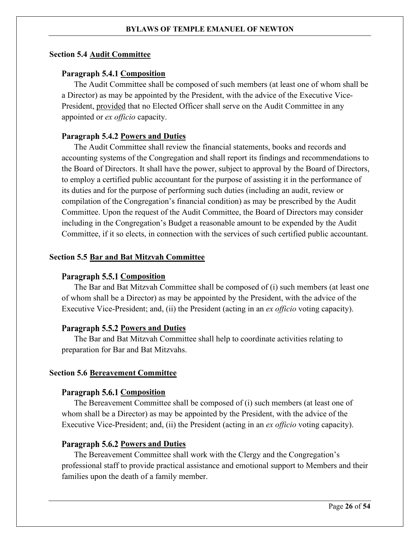# <span id="page-25-0"></span>**Section 5.4 Audit Committee**

# **Paragraph 5.4.1 Composition**

The Audit Committee shall be composed of such members (at least one of whom shall be a Director) as may be appointed by the President, with the advice of the Executive Vice-President, provided that no Elected Officer shall serve on the Audit Committee in any appointed or *ex officio* capacity.

# **Paragraph 5.4.2 Powers and Duties**

The Audit Committee shall review the financial statements, books and records and accounting systems of the Congregation and shall report its findings and recommendations to the Board of Directors. It shall have the power, subject to approval by the Board of Directors, to employ a certified public accountant for the purpose of assisting it in the performance of its duties and for the purpose of performing such duties (including an audit, review or compilation of the Congregation's financial condition) as may be prescribed by the Audit Committee. Upon the request of the Audit Committee, the Board of Directors may consider including in the Congregation's Budget a reasonable amount to be expended by the Audit Committee, if it so elects, in connection with the services of such certified public accountant.

# <span id="page-25-1"></span>**Section 5.5 Bar and Bat Mitzvah Committee**

#### **Paragraph 5.5.1 Composition**

The Bar and Bat Mitzvah Committee shall be composed of (i) such members (at least one of whom shall be a Director) as may be appointed by the President, with the advice of the Executive Vice-President; and, (ii) the President (acting in an *ex officio* voting capacity).

# Paragraph 5.5.2 Powers and Duties

The Bar and Bat Mitzvah Committee shall help to coordinate activities relating to preparation for Bar and Bat Mitzvahs.

#### <span id="page-25-2"></span>**Section 5.6 Bereavement Committee**

#### **Paragraph 5.6.1 Composition**

The Bereavement Committee shall be composed of (i) such members (at least one of whom shall be a Director) as may be appointed by the President, with the advice of the Executive Vice-President; and, (ii) the President (acting in an *ex officio* voting capacity).

# Paragraph 5.6.2 Powers and Duties

The Bereavement Committee shall work with the Clergy and the Congregation's professional staff to provide practical assistance and emotional support to Members and their families upon the death of a family member.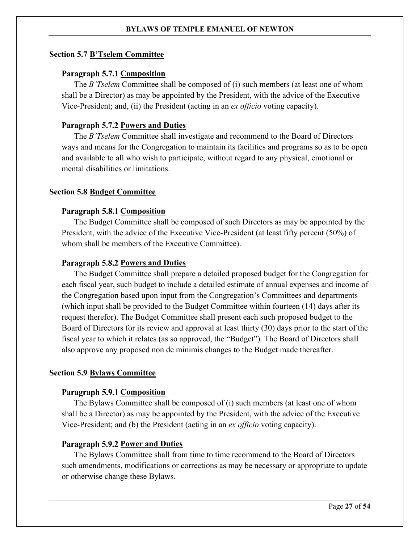# <span id="page-26-0"></span>**Section 5.7 B'Tselem Committee**

# **Paragraph 5.7.1 Composition**

The *B'Tselem* Committee shall be composed of (i) such members (at least one of whom shall be a Director) as may be appointed by the President, with the advice of the Executive Vice-President; and, (ii) the President (acting in an *ex officio* voting capacity).

# **Paragraph 5.7.2 Powers and Duties**

The *B'Tselem* Committee shall investigate and recommend to the Board of Directors ways and means for the Congregation to maintain its facilities and programs so as to be open and available to all who wish to participate, without regard to any physical, emotional or mental disabilities or limitations.

# <span id="page-26-1"></span>**Section 5.8 Budget Committee**

# Paragraph 5.8.1 Composition

The Budget Committee shall be composed of such Directors as may be appointed by the President, with the advice of the Executive Vice-President (at least fifty percent (50%) of whom shall be members of the Executive Committee).

# **Paragraph 5.8.2 Powers and Duties**

The Budget Committee shall prepare a detailed proposed budget for the Congregation for each fiscal year, such budget to include a detailed estimate of annual expenses and income of the Congregation based upon input from the Congregation's Committees and departments (which input shall be provided to the Budget Committee within fourteen (14) days after its request therefor). The Budget Committee shall present each such proposed budget to the Board of Directors for its review and approval at least thirty (30) days prior to the start of the fiscal year to which it relates (as so approved, the "Budget"). The Board of Directors shall also approve any proposed non de minimis changes to the Budget made thereafter.

# <span id="page-26-2"></span>**Section 5.9 Bylaws Committee**

# **Paragraph 5.9.1 Composition**

The Bylaws Committee shall be composed of (i) such members (at least one of whom shall be a Director) as may be appointed by the President, with the advice of the Executive Vice-President; and (b) the President (acting in an *ex officio* voting capacity).

# **Paragraph 5.9.2 Power and Duties**

The Bylaws Committee shall from time to time recommend to the Board of Directors such amendments, modifications or corrections as may be necessary or appropriate to update or otherwise change these Bylaws.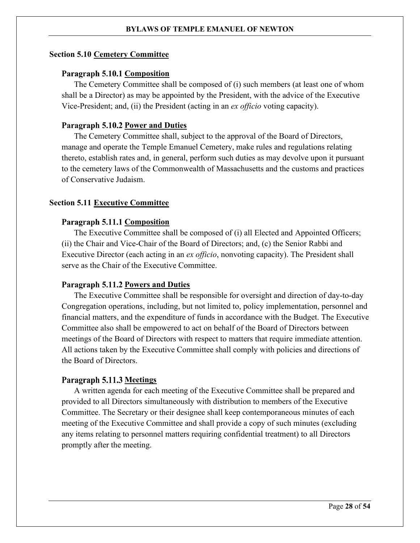#### <span id="page-27-0"></span>**Section 5.10 Cemetery Committee**

# **Paragraph 5.10.1 Composition**

The Cemetery Committee shall be composed of (i) such members (at least one of whom shall be a Director) as may be appointed by the President, with the advice of the Executive Vice-President; and, (ii) the President (acting in an *ex officio* voting capacity).

# Paragraph 5.10.2 Power and Duties

The Cemetery Committee shall, subject to the approval of the Board of Directors, manage and operate the Temple Emanuel Cemetery, make rules and regulations relating thereto, establish rates and, in general, perform such duties as may devolve upon it pursuant to the cemetery laws of the Commonwealth of Massachusetts and the customs and practices of Conservative Judaism.

# <span id="page-27-1"></span>**Section 5.11 Executive Committee**

# Paragraph 5.11.1 Composition

The Executive Committee shall be composed of (i) all Elected and Appointed Officers; (ii) the Chair and Vice-Chair of the Board of Directors; and, (c) the Senior Rabbi and Executive Director (each acting in an *ex officio*, nonvoting capacity). The President shall serve as the Chair of the Executive Committee.

# Paragraph 5.11.2 Powers and Duties

The Executive Committee shall be responsible for oversight and direction of day-to-day Congregation operations, including, but not limited to, policy implementation, personnel and financial matters, and the expenditure of funds in accordance with the Budget. The Executive Committee also shall be empowered to act on behalf of the Board of Directors between meetings of the Board of Directors with respect to matters that require immediate attention. All actions taken by the Executive Committee shall comply with policies and directions of the Board of Directors.

#### **Paragraph 5.11.3 Meetings**

A written agenda for each meeting of the Executive Committee shall be prepared and provided to all Directors simultaneously with distribution to members of the Executive Committee. The Secretary or their designee shall keep contemporaneous minutes of each meeting of the Executive Committee and shall provide a copy of such minutes (excluding any items relating to personnel matters requiring confidential treatment) to all Directors promptly after the meeting.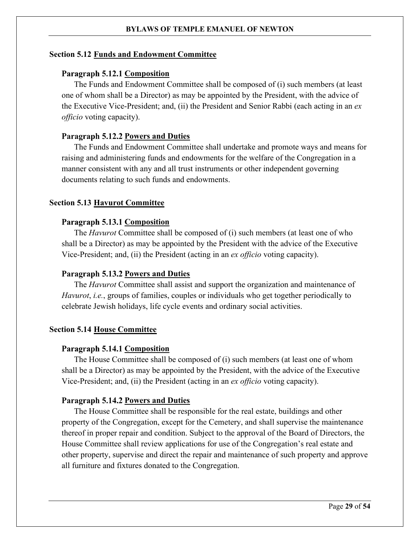# <span id="page-28-0"></span>**Section 5.12 Funds and Endowment Committee**

# **Paragraph 5.12.1 Composition**

The Funds and Endowment Committee shall be composed of (i) such members (at least one of whom shall be a Director) as may be appointed by the President, with the advice of the Executive Vice-President; and, (ii) the President and Senior Rabbi (each acting in an *ex officio* voting capacity).

# **Paragraph 5.12.2 Powers and Duties**

The Funds and Endowment Committee shall undertake and promote ways and means for raising and administering funds and endowments for the welfare of the Congregation in a manner consistent with any and all trust instruments or other independent governing documents relating to such funds and endowments.

# <span id="page-28-1"></span>**Section 5.13 Havurot Committee**

# **Paragraph 5.13.1 Composition**

The *Havurot* Committee shall be composed of (i) such members (at least one of who shall be a Director) as may be appointed by the President with the advice of the Executive Vice-President; and, (ii) the President (acting in an *ex officio* voting capacity).

# Paragraph 5.13.2 Powers and Duties

The *Havurot* Committee shall assist and support the organization and maintenance of *Havurot*, *i.e.*, groups of families, couples or individuals who get together periodically to celebrate Jewish holidays, life cycle events and ordinary social activities.

#### <span id="page-28-2"></span>**Section 5.14 House Committee**

#### **Paragraph 5.14.1 Composition**

The House Committee shall be composed of (i) such members (at least one of whom shall be a Director) as may be appointed by the President, with the advice of the Executive Vice-President; and, (ii) the President (acting in an *ex officio* voting capacity).

# Paragraph 5.14.2 Powers and Duties

The House Committee shall be responsible for the real estate, buildings and other property of the Congregation, except for the Cemetery, and shall supervise the maintenance thereof in proper repair and condition. Subject to the approval of the Board of Directors, the House Committee shall review applications for use of the Congregation's real estate and other property, supervise and direct the repair and maintenance of such property and approve all furniture and fixtures donated to the Congregation.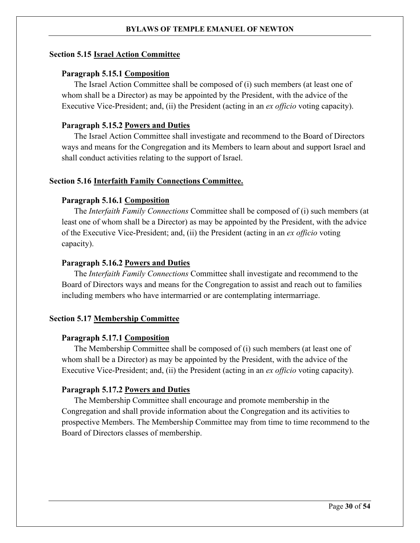#### <span id="page-29-0"></span>**Section 5.15 Israel Action Committee**

#### **Paragraph 5.15.1 Composition**

The Israel Action Committee shall be composed of (i) such members (at least one of whom shall be a Director) as may be appointed by the President, with the advice of the Executive Vice-President; and, (ii) the President (acting in an *ex officio* voting capacity).

# Paragraph 5.15.2 Powers and Duties

The Israel Action Committee shall investigate and recommend to the Board of Directors ways and means for the Congregation and its Members to learn about and support Israel and shall conduct activities relating to the support of Israel.

#### <span id="page-29-1"></span>**Section 5.16 Interfaith Family Connections Committee.**

#### **Paragraph 5.16.1 Composition**

The *Interfaith Family Connections* Committee shall be composed of (i) such members (at least one of whom shall be a Director) as may be appointed by the President, with the advice of the Executive Vice-President; and, (ii) the President (acting in an *ex officio* voting capacity).

#### Paragraph 5.16.2 Powers and Duties

The *Interfaith Family Connections* Committee shall investigate and recommend to the Board of Directors ways and means for the Congregation to assist and reach out to families including members who have intermarried or are contemplating intermarriage.

#### <span id="page-29-2"></span>**Section 5.17 Membership Committee**

# **Paragraph 5.17.1 Composition**

The Membership Committee shall be composed of (i) such members (at least one of whom shall be a Director) as may be appointed by the President, with the advice of the Executive Vice-President; and, (ii) the President (acting in an *ex officio* voting capacity).

# Paragraph 5.17.2 Powers and Duties

The Membership Committee shall encourage and promote membership in the Congregation and shall provide information about the Congregation and its activities to prospective Members. The Membership Committee may from time to time recommend to the Board of Directors classes of membership.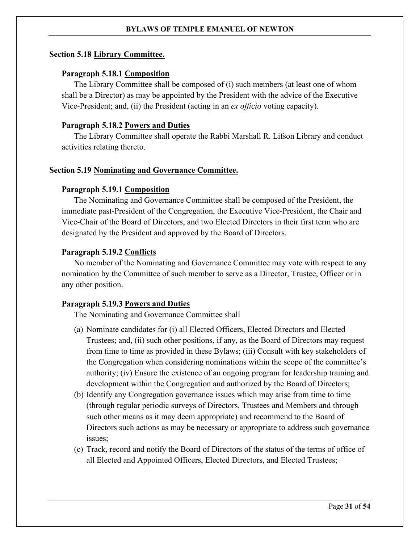# **Section 5.18 Library Committee.**

# **Paragraph 5.18.1 Composition**

The Library Committee shall be composed of (i) such members (at least one of whom shall be a Director) as may be appointed by the President with the advice of the Executive Vice-President; and, (ii) the President (acting in an *ex officio* voting capacity).

# Paragraph 5.18.2 Powers and Duties

The Library Committee shall operate the Rabbi Marshall R. Lifson Library and conduct activities relating thereto.

# <span id="page-30-0"></span>**Section 5.19 Nominating and Governance Committee.**

# **Paragraph 5.19.1 Composition**

The Nominating and Governance Committee shall be composed of the President, the immediate past-President of the Congregation, the Executive Vice-President, the Chair and Vice-Chair of the Board of Directors, and two Elected Directors in their first term who are designated by the President and approved by the Board of Directors.

# Paragraph 5.19.2 Conflicts

No member of the Nominating and Governance Committee may vote with respect to any nomination by the Committee of such member to serve as a Director, Trustee, Officer or in any other position.

# **Paragraph 5.19.3 Powers and Duties**

The Nominating and Governance Committee shall

- (a) Nominate candidates for (i) all Elected Officers, Elected Directors and Elected Trustees; and, (ii) such other positions, if any, as the Board of Directors may request from time to time as provided in these Bylaws; (iii) Consult with key stakeholders of the Congregation when considering nominations within the scope of the committee's authority; (iv) Ensure the existence of an ongoing program for leadership training and development within the Congregation and authorized by the Board of Directors;
- (b) Identify any Congregation governance issues which may arise from time to time (through regular periodic surveys of Directors, Trustees and Members and through such other means as it may deem appropriate) and recommend to the Board of Directors such actions as may be necessary or appropriate to address such governance issues;
- (c) Track, record and notify the Board of Directors of the status of the terms of office of all Elected and Appointed Officers, Elected Directors, and Elected Trustees;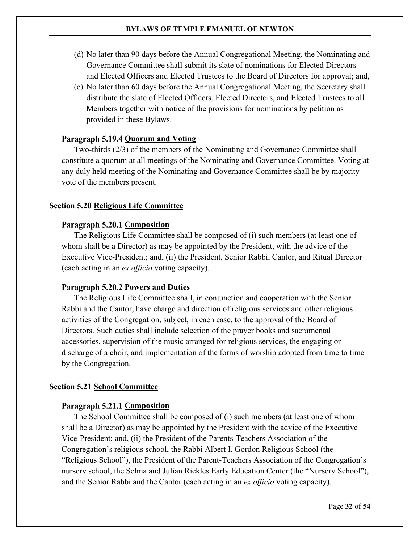- (d) No later than 90 days before the Annual Congregational Meeting, the Nominating and Governance Committee shall submit its slate of nominations for Elected Directors and Elected Officers and Elected Trustees to the Board of Directors for approval; and,
- (e) No later than 60 days before the Annual Congregational Meeting, the Secretary shall distribute the slate of Elected Officers, Elected Directors, and Elected Trustees to all Members together with notice of the provisions for nominations by petition as provided in these Bylaws.

# **Paragraph 5.19.4 Quorum and Voting**

Two-thirds (2/3) of the members of the Nominating and Governance Committee shall constitute a quorum at all meetings of the Nominating and Governance Committee. Voting at any duly held meeting of the Nominating and Governance Committee shall be by majority vote of the members present.

#### <span id="page-31-0"></span>**Section 5.20 Religious Life Committee**

# **Paragraph 5.20.1 Composition**

The Religious Life Committee shall be composed of (i) such members (at least one of whom shall be a Director) as may be appointed by the President, with the advice of the Executive Vice-President; and, (ii) the President, Senior Rabbi, Cantor, and Ritual Director (each acting in an *ex officio* voting capacity).

# Paragraph 5.20.2 Powers and Duties

The Religious Life Committee shall, in conjunction and cooperation with the Senior Rabbi and the Cantor, have charge and direction of religious services and other religious activities of the Congregation, subject, in each case, to the approval of the Board of Directors. Such duties shall include selection of the prayer books and sacramental accessories, supervision of the music arranged for religious services, the engaging or discharge of a choir, and implementation of the forms of worship adopted from time to time by the Congregation.

#### <span id="page-31-1"></span>**Section 5.21 School Committee**

#### **Paragraph 5.21.1 Composition**

The School Committee shall be composed of (i) such members (at least one of whom shall be a Director) as may be appointed by the President with the advice of the Executive Vice-President; and, (ii) the President of the Parents-Teachers Association of the Congregation's religious school, the Rabbi Albert I. Gordon Religious School (the "Religious School"), the President of the Parent-Teachers Association of the Congregation's nursery school, the Selma and Julian Rickles Early Education Center (the "Nursery School"), and the Senior Rabbi and the Cantor (each acting in an *ex officio* voting capacity).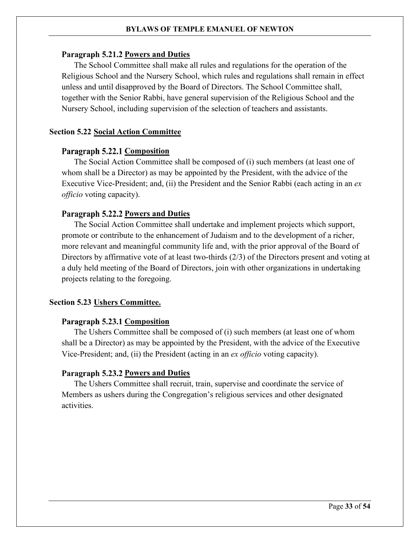# Paragraph 5.21.2 Powers and Duties

The School Committee shall make all rules and regulations for the operation of the Religious School and the Nursery School, which rules and regulations shall remain in effect unless and until disapproved by the Board of Directors. The School Committee shall, together with the Senior Rabbi, have general supervision of the Religious School and the Nursery School, including supervision of the selection of teachers and assistants.

# <span id="page-32-0"></span>**Section 5.22 Social Action Committee**

# **Paragraph 5.22.1 Composition**

The Social Action Committee shall be composed of (i) such members (at least one of whom shall be a Director) as may be appointed by the President, with the advice of the Executive Vice-President; and, (ii) the President and the Senior Rabbi (each acting in an *ex officio* voting capacity).

# Paragraph 5.22.2 Powers and Duties

The Social Action Committee shall undertake and implement projects which support, promote or contribute to the enhancement of Judaism and to the development of a richer, more relevant and meaningful community life and, with the prior approval of the Board of Directors by affirmative vote of at least two-thirds (2/3) of the Directors present and voting at a duly held meeting of the Board of Directors, join with other organizations in undertaking projects relating to the foregoing.

# <span id="page-32-1"></span>**Section 5.23 Ushers Committee.**

# **Paragraph 5.23.1 Composition**

The Ushers Committee shall be composed of (i) such members (at least one of whom shall be a Director) as may be appointed by the President, with the advice of the Executive Vice-President; and, (ii) the President (acting in an *ex officio* voting capacity).

# Paragraph 5.23.2 Powers and Duties

The Ushers Committee shall recruit, train, supervise and coordinate the service of Members as ushers during the Congregation's religious services and other designated activities.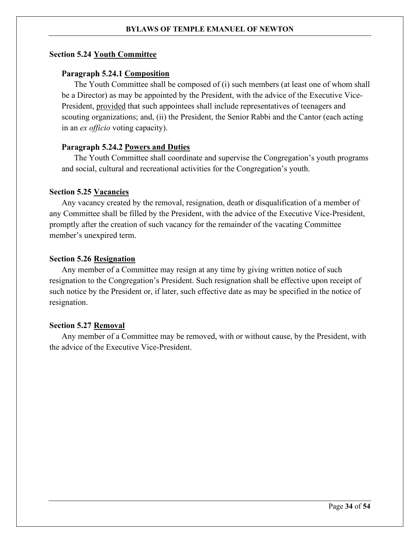# <span id="page-33-0"></span>**Section 5.24 Youth Committee**

# **Paragraph 5.24.1 Composition**

The Youth Committee shall be composed of (i) such members (at least one of whom shall be a Director) as may be appointed by the President, with the advice of the Executive Vice-President, provided that such appointees shall include representatives of teenagers and scouting organizations; and, (ii) the President, the Senior Rabbi and the Cantor (each acting in an *ex officio* voting capacity).

# Paragraph 5.24.2 Powers and Duties

The Youth Committee shall coordinate and supervise the Congregation's youth programs and social, cultural and recreational activities for the Congregation's youth.

#### <span id="page-33-1"></span>**Section 5.25 Vacancies**

Any vacancy created by the removal, resignation, death or disqualification of a member of any Committee shall be filled by the President, with the advice of the Executive Vice-President, promptly after the creation of such vacancy for the remainder of the vacating Committee member's unexpired term.

# <span id="page-33-2"></span>**Section 5.26 Resignation**

Any member of a Committee may resign at any time by giving written notice of such resignation to the Congregation's President. Such resignation shall be effective upon receipt of such notice by the President or, if later, such effective date as may be specified in the notice of resignation.

#### <span id="page-33-3"></span>**Section 5.27 Removal**

Any member of a Committee may be removed, with or without cause, by the President, with the advice of the Executive Vice-President.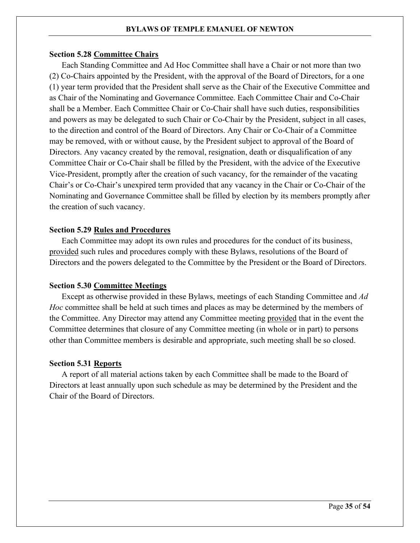# <span id="page-34-0"></span>**Section 5.28 Committee Chairs**

Each Standing Committee and Ad Hoc Committee shall have a Chair or not more than two (2) Co-Chairs appointed by the President, with the approval of the Board of Directors, for a one (1) year term provided that the President shall serve as the Chair of the Executive Committee and as Chair of the Nominating and Governance Committee. Each Committee Chair and Co-Chair shall be a Member. Each Committee Chair or Co-Chair shall have such duties, responsibilities and powers as may be delegated to such Chair or Co-Chair by the President, subject in all cases, to the direction and control of the Board of Directors. Any Chair or Co-Chair of a Committee may be removed, with or without cause, by the President subject to approval of the Board of Directors. Any vacancy created by the removal, resignation, death or disqualification of any Committee Chair or Co-Chair shall be filled by the President, with the advice of the Executive Vice-President, promptly after the creation of such vacancy, for the remainder of the vacating Chair's or Co-Chair's unexpired term provided that any vacancy in the Chair or Co-Chair of the Nominating and Governance Committee shall be filled by election by its members promptly after the creation of such vacancy.

# <span id="page-34-1"></span>**Section 5.29 Rules and Procedures**

Each Committee may adopt its own rules and procedures for the conduct of its business, provided such rules and procedures comply with these Bylaws, resolutions of the Board of Directors and the powers delegated to the Committee by the President or the Board of Directors.

# <span id="page-34-2"></span>**Section 5.30 Committee Meetings**

Except as otherwise provided in these Bylaws, meetings of each Standing Committee and *Ad Hoc* committee shall be held at such times and places as may be determined by the members of the Committee. Any Director may attend any Committee meeting provided that in the event the Committee determines that closure of any Committee meeting (in whole or in part) to persons other than Committee members is desirable and appropriate, such meeting shall be so closed.

# <span id="page-34-3"></span>**Section 5.31 Reports**

A report of all material actions taken by each Committee shall be made to the Board of Directors at least annually upon such schedule as may be determined by the President and the Chair of the Board of Directors.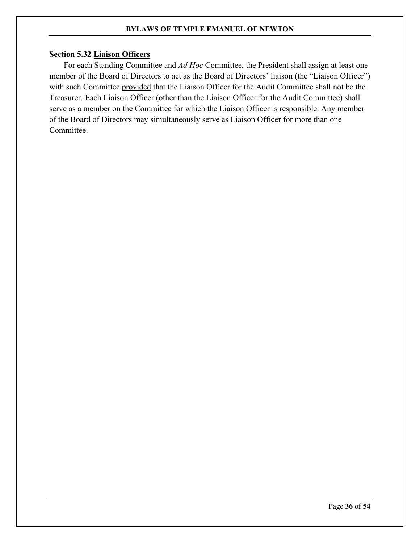# <span id="page-35-0"></span>**Section 5.32 Liaison Officers**

For each Standing Committee and *Ad Hoc* Committee, the President shall assign at least one member of the Board of Directors to act as the Board of Directors' liaison (the "Liaison Officer") with such Committee provided that the Liaison Officer for the Audit Committee shall not be the Treasurer. Each Liaison Officer (other than the Liaison Officer for the Audit Committee) shall serve as a member on the Committee for which the Liaison Officer is responsible. Any member of the Board of Directors may simultaneously serve as Liaison Officer for more than one Committee.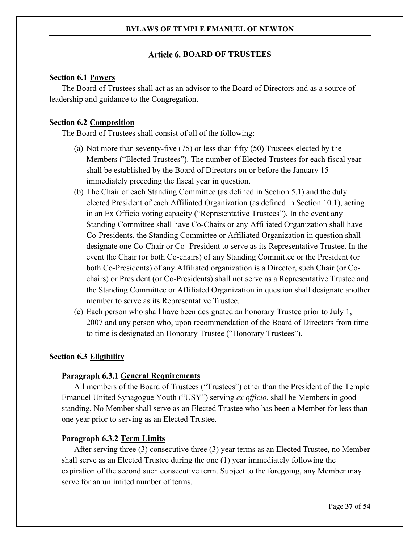# Article 6. BOARD OF TRUSTEES

# <span id="page-36-1"></span><span id="page-36-0"></span>**Section 6.1 Powers**

The Board of Trustees shall act as an advisor to the Board of Directors and as a source of leadership and guidance to the Congregation.

# <span id="page-36-2"></span>**Section 6.2 Composition**

The Board of Trustees shall consist of all of the following:

- (a) Not more than seventy-five (75) or less than fifty (50) Trustees elected by the Members ("Elected Trustees"). The number of Elected Trustees for each fiscal year shall be established by the Board of Directors on or before the January 15 immediately preceding the fiscal year in question.
- <span id="page-36-4"></span>(b) The Chair of each Standing Committee (as defined in [Section 5.1\)](#page-24-1) and the duly elected President of each Affiliated Organization (as defined in [Section 10.1\)](#page-47-1), acting in an Ex Officio voting capacity ("Representative Trustees"). In the event any Standing Committee shall have Co-Chairs or any Affiliated Organization shall have Co-Presidents, the Standing Committee or Affiliated Organization in question shall designate one Co-Chair or Co- President to serve as its Representative Trustee. In the event the Chair (or both Co-chairs) of any Standing Committee or the President (or both Co-Presidents) of any Affiliated organization is a Director, such Chair (or Cochairs) or President (or Co-Presidents) shall not serve as a Representative Trustee and the Standing Committee or Affiliated Organization in question shall designate another member to serve as its Representative Trustee.
- (c) Each person who shall have been designated an honorary Trustee prior to July 1, 2007 and any person who, upon recommendation of the Board of Directors from time to time is designated an Honorary Trustee ("Honorary Trustees").

#### <span id="page-36-3"></span>**Section 6.3 Eligibility**

# **Paragraph 6.3.1 General Requirements**

All members of the Board of Trustees ("Trustees") other than the President of the Temple Emanuel United Synagogue Youth ("USY") serving *ex officio*, shall be Members in good standing. No Member shall serve as an Elected Trustee who has been a Member for less than one year prior to serving as an Elected Trustee.

# Paragraph 6.3.2 Term Limits

After serving three (3) consecutive three (3) year terms as an Elected Trustee, no Member shall serve as an Elected Trustee during the one (1) year immediately following the expiration of the second such consecutive term. Subject to the foregoing, any Member may serve for an unlimited number of terms.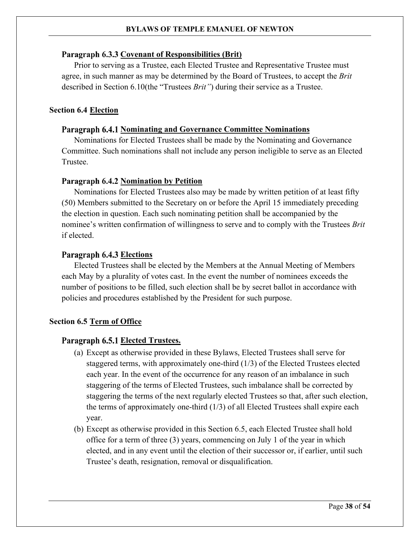# Paragraph 6.3.3 Covenant of Responsibilities (Brit)

Prior to serving as a Trustee, each Elected Trustee and Representative Trustee must agree, in such manner as may be determined by the Board of Trustees, to accept the *Brit* described in [Section 6.10\(](#page-39-2)the "Trustees *Brit"*) during their service as a Trustee.

# <span id="page-37-0"></span>**Section 6.4 Election**

# Paragraph 6.4.1 Nominating and Governance Committee Nominations

Nominations for Elected Trustees shall be made by the Nominating and Governance Committee. Such nominations shall not include any person ineligible to serve as an Elected Trustee.

# **Paragraph 6.4.2 Nomination by Petition**

Nominations for Elected Trustees also may be made by written petition of at least fifty (50) Members submitted to the Secretary on or before the April 15 immediately preceding the election in question. Each such nominating petition shall be accompanied by the nominee's written confirmation of willingness to serve and to comply with the Trustees *Brit* if elected.

# **Paragraph 6.4.3 Elections**

Elected Trustees shall be elected by the Members at the Annual Meeting of Members each May by a plurality of votes cast. In the event the number of nominees exceeds the number of positions to be filled, such election shall be by secret ballot in accordance with policies and procedures established by the President for such purpose.

# <span id="page-37-1"></span>**Section 6.5 Term of Office**

# Paragraph 6.5.1 Elected Trustees.

- (a) Except as otherwise provided in these Bylaws, Elected Trustees shall serve for staggered terms, with approximately one-third (1/3) of the Elected Trustees elected each year. In the event of the occurrence for any reason of an imbalance in such staggering of the terms of Elected Trustees, such imbalance shall be corrected by staggering the terms of the next regularly elected Trustees so that, after such election, the terms of approximately one-third (1/3) of all Elected Trustees shall expire each year.
- (b) Except as otherwise provided in this [Section 6.5,](#page-37-1) each Elected Trustee shall hold office for a term of three (3) years, commencing on July 1 of the year in which elected, and in any event until the election of their successor or, if earlier, until such Trustee's death, resignation, removal or disqualification.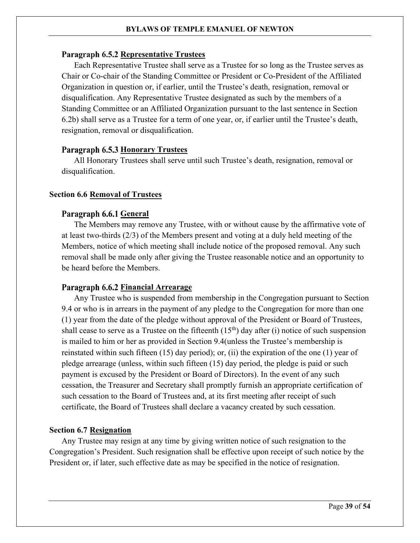# **Paragraph 6.5.2 Representative Trustees**

Each Representative Trustee shall serve as a Trustee for so long as the Trustee serves as Chair or Co-chair of the Standing Committee or President or Co-President of the Affiliated Organization in question or, if earlier, until the Trustee's death, resignation, removal or disqualification. Any Representative Trustee designated as such by the members of a Standing Committee or an Affiliated Organization pursuant to the last sentence in [Section](#page-36-2)  [6.2](#page-36-2)[b\)](#page-36-4) shall serve as a Trustee for a term of one year, or, if earlier until the Trustee's death, resignation, removal or disqualification.

# Paragraph 6.5.3 Honorary Trustees

All Honorary Trustees shall serve until such Trustee's death, resignation, removal or disqualification.

# <span id="page-38-0"></span>**Section 6.6 Removal of Trustees**

# Paragraph 6.6.1 **General**

The Members may remove any Trustee, with or without cause by the affirmative vote of at least two-thirds (2/3) of the Members present and voting at a duly held meeting of the Members, notice of which meeting shall include notice of the proposed removal. Any such removal shall be made only after giving the Trustee reasonable notice and an opportunity to be heard before the Members.

# <span id="page-38-2"></span>Paragraph 6.6.2 Financial Arrearage

Any Trustee who is suspended from membership in the Congregation pursuant to [Section](#page-46-0)  [9.4](#page-46-0) or who is in arrears in the payment of any pledge to the Congregation for more than one (1) year from the date of the pledge without approval of the President or Board of Trustees, shall cease to serve as a Trustee on the fifteenth  $(15<sup>th</sup>)$  day after (i) notice of such suspension is mailed to him or her as provided in [Section 9.4\(](#page-46-0)unless the Trustee's membership is reinstated within such fifteen (15) day period); or, (ii) the expiration of the one (1) year of pledge arrearage (unless, within such fifteen (15) day period, the pledge is paid or such payment is excused by the President or Board of Directors). In the event of any such cessation, the Treasurer and Secretary shall promptly furnish an appropriate certification of such cessation to the Board of Trustees and, at its first meeting after receipt of such certificate, the Board of Trustees shall declare a vacancy created by such cessation.

# <span id="page-38-1"></span>**Section 6.7 Resignation**

Any Trustee may resign at any time by giving written notice of such resignation to the Congregation's President. Such resignation shall be effective upon receipt of such notice by the President or, if later, such effective date as may be specified in the notice of resignation.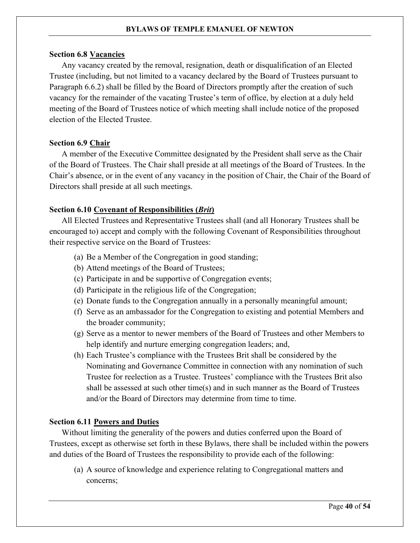# <span id="page-39-0"></span>**Section 6.8 Vacancies**

Any vacancy created by the removal, resignation, death or disqualification of an Elected Trustee (including, but not limited to a vacancy declared by the Board of Trustees pursuant to [Paragraph 6.6.2\)](#page-38-2) shall be filled by the Board of Directors promptly after the creation of such vacancy for the remainder of the vacating Trustee's term of office, by election at a duly held meeting of the Board of Trustees notice of which meeting shall include notice of the proposed election of the Elected Trustee.

# <span id="page-39-1"></span>**Section 6.9 Chair**

A member of the Executive Committee designated by the President shall serve as the Chair of the Board of Trustees. The Chair shall preside at all meetings of the Board of Trustees. In the Chair's absence, or in the event of any vacancy in the position of Chair, the Chair of the Board of Directors shall preside at all such meetings.

# <span id="page-39-2"></span>**Section 6.10 Covenant of Responsibilities (***Brit***)**

All Elected Trustees and Representative Trustees shall (and all Honorary Trustees shall be encouraged to) accept and comply with the following Covenant of Responsibilities throughout their respective service on the Board of Trustees:

- (a) Be a Member of the Congregation in good standing;
- (b) Attend meetings of the Board of Trustees;
- (c) Participate in and be supportive of Congregation events;
- (d) Participate in the religious life of the Congregation;
- (e) Donate funds to the Congregation annually in a personally meaningful amount;
- (f) Serve as an ambassador for the Congregation to existing and potential Members and the broader community;
- (g) Serve as a mentor to newer members of the Board of Trustees and other Members to help identify and nurture emerging congregation leaders; and,
- (h) Each Trustee's compliance with the Trustees Brit shall be considered by the Nominating and Governance Committee in connection with any nomination of such Trustee for reelection as a Trustee. Trustees' compliance with the Trustees Brit also shall be assessed at such other time(s) and in such manner as the Board of Trustees and/or the Board of Directors may determine from time to time.

# <span id="page-39-3"></span>**Section 6.11 Powers and Duties**

Without limiting the generality of the powers and duties conferred upon the Board of Trustees, except as otherwise set forth in these Bylaws, there shall be included within the powers and duties of the Board of Trustees the responsibility to provide each of the following:

(a) A source of knowledge and experience relating to Congregational matters and concerns;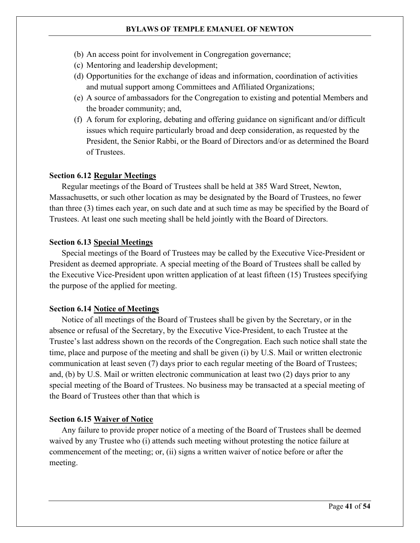- (b) An access point for involvement in Congregation governance;
- (c) Mentoring and leadership development;
- (d) Opportunities for the exchange of ideas and information, coordination of activities and mutual support among Committees and Affiliated Organizations;
- (e) A source of ambassadors for the Congregation to existing and potential Members and the broader community; and,
- (f) A forum for exploring, debating and offering guidance on significant and/or difficult issues which require particularly broad and deep consideration, as requested by the President, the Senior Rabbi, or the Board of Directors and/or as determined the Board of Trustees.

# <span id="page-40-0"></span>**Section 6.12 Regular Meetings**

Regular meetings of the Board of Trustees shall be held at 385 Ward Street, Newton, Massachusetts, or such other location as may be designated by the Board of Trustees, no fewer than three (3) times each year, on such date and at such time as may be specified by the Board of Trustees. At least one such meeting shall be held jointly with the Board of Directors.

# <span id="page-40-1"></span>**Section 6.13 Special Meetings**

Special meetings of the Board of Trustees may be called by the Executive Vice-President or President as deemed appropriate. A special meeting of the Board of Trustees shall be called by the Executive Vice-President upon written application of at least fifteen (15) Trustees specifying the purpose of the applied for meeting.

# <span id="page-40-2"></span>**Section 6.14 Notice of Meetings**

Notice of all meetings of the Board of Trustees shall be given by the Secretary, or in the absence or refusal of the Secretary, by the Executive Vice-President, to each Trustee at the Trustee's last address shown on the records of the Congregation. Each such notice shall state the time, place and purpose of the meeting and shall be given (i) by U.S. Mail or written electronic communication at least seven (7) days prior to each regular meeting of the Board of Trustees; and, (b) by U.S. Mail or written electronic communication at least two (2) days prior to any special meeting of the Board of Trustees. No business may be transacted at a special meeting of the Board of Trustees other than that which is

# <span id="page-40-3"></span>**Section 6.15 Waiver of Notice**

Any failure to provide proper notice of a meeting of the Board of Trustees shall be deemed waived by any Trustee who (i) attends such meeting without protesting the notice failure at commencement of the meeting; or, (ii) signs a written waiver of notice before or after the meeting.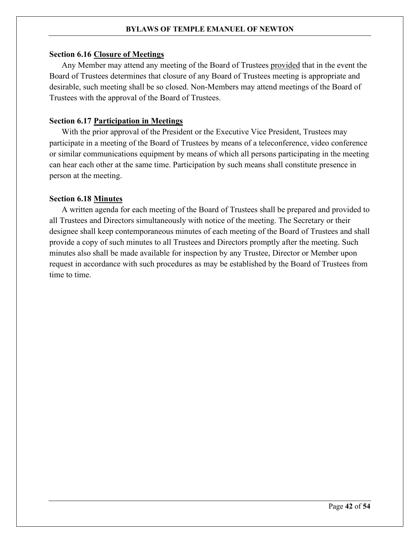#### <span id="page-41-0"></span>**Section 6.16 Closure of Meetings**

Any Member may attend any meeting of the Board of Trustees provided that in the event the Board of Trustees determines that closure of any Board of Trustees meeting is appropriate and desirable, such meeting shall be so closed. Non-Members may attend meetings of the Board of Trustees with the approval of the Board of Trustees.

# <span id="page-41-1"></span>**Section 6.17 Participation in Meetings**

With the prior approval of the President or the Executive Vice President, Trustees may participate in a meeting of the Board of Trustees by means of a teleconference, video conference or similar communications equipment by means of which all persons participating in the meeting can hear each other at the same time. Participation by such means shall constitute presence in person at the meeting.

#### <span id="page-41-2"></span>**Section 6.18 Minutes**

A written agenda for each meeting of the Board of Trustees shall be prepared and provided to all Trustees and Directors simultaneously with notice of the meeting. The Secretary or their designee shall keep contemporaneous minutes of each meeting of the Board of Trustees and shall provide a copy of such minutes to all Trustees and Directors promptly after the meeting. Such minutes also shall be made available for inspection by any Trustee, Director or Member upon request in accordance with such procedures as may be established by the Board of Trustees from time to time.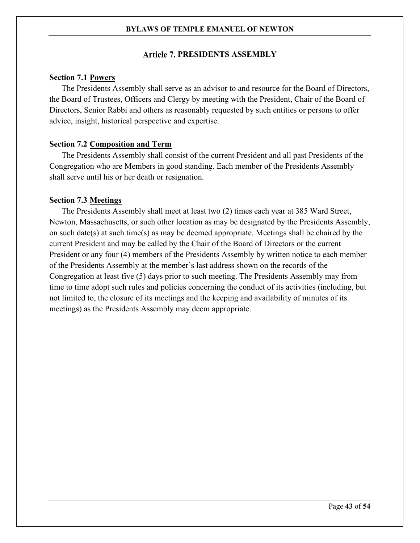# **PRESIDENTS ASSEMBLY**

# <span id="page-42-1"></span><span id="page-42-0"></span>**Section 7.1 Powers**

The Presidents Assembly shall serve as an advisor to and resource for the Board of Directors, the Board of Trustees, Officers and Clergy by meeting with the President, Chair of the Board of Directors, Senior Rabbi and others as reasonably requested by such entities or persons to offer advice, insight, historical perspective and expertise.

# <span id="page-42-2"></span>**Section 7.2 Composition and Term**

The Presidents Assembly shall consist of the current President and all past Presidents of the Congregation who are Members in good standing. Each member of the Presidents Assembly shall serve until his or her death or resignation.

# <span id="page-42-3"></span>**Section 7.3 Meetings**

The Presidents Assembly shall meet at least two (2) times each year at 385 Ward Street, Newton, Massachusetts, or such other location as may be designated by the Presidents Assembly, on such date(s) at such time(s) as may be deemed appropriate. Meetings shall be chaired by the current President and may be called by the Chair of the Board of Directors or the current President or any four (4) members of the Presidents Assembly by written notice to each member of the Presidents Assembly at the member's last address shown on the records of the Congregation at least five (5) days prior to such meeting. The Presidents Assembly may from time to time adopt such rules and policies concerning the conduct of its activities (including, but not limited to, the closure of its meetings and the keeping and availability of minutes of its meetings) as the Presidents Assembly may deem appropriate.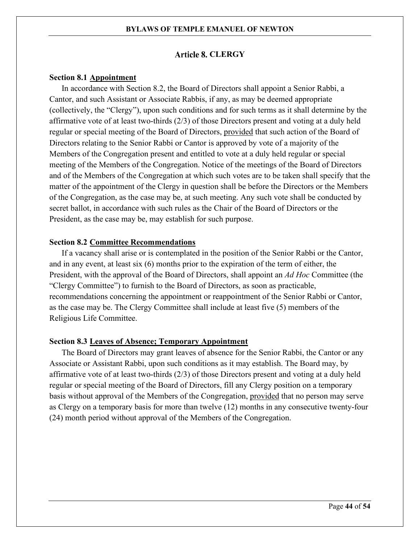# **Article 8. CLERGY**

#### <span id="page-43-1"></span><span id="page-43-0"></span>**Section 8.1 Appointment**

In accordance with [Section 8.2,](#page-43-2) the Board of Directors shall appoint a Senior Rabbi, a Cantor, and such Assistant or Associate Rabbis, if any, as may be deemed appropriate (collectively, the "Clergy"), upon such conditions and for such terms as it shall determine by the affirmative vote of at least two-thirds (2/3) of those Directors present and voting at a duly held regular or special meeting of the Board of Directors, provided that such action of the Board of Directors relating to the Senior Rabbi or Cantor is approved by vote of a majority of the Members of the Congregation present and entitled to vote at a duly held regular or special meeting of the Members of the Congregation. Notice of the meetings of the Board of Directors and of the Members of the Congregation at which such votes are to be taken shall specify that the matter of the appointment of the Clergy in question shall be before the Directors or the Members of the Congregation, as the case may be, at such meeting. Any such vote shall be conducted by secret ballot, in accordance with such rules as the Chair of the Board of Directors or the President, as the case may be, may establish for such purpose.

#### <span id="page-43-2"></span>**Section 8.2 Committee Recommendations**

If a vacancy shall arise or is contemplated in the position of the Senior Rabbi or the Cantor, and in any event, at least six (6) months prior to the expiration of the term of either, the President, with the approval of the Board of Directors, shall appoint an *Ad Hoc* Committee (the "Clergy Committee") to furnish to the Board of Directors, as soon as practicable, recommendations concerning the appointment or reappointment of the Senior Rabbi or Cantor, as the case may be. The Clergy Committee shall include at least five (5) members of the Religious Life Committee.

#### <span id="page-43-3"></span>**Section 8.3 Leaves of Absence; Temporary Appointment**

The Board of Directors may grant leaves of absence for the Senior Rabbi, the Cantor or any Associate or Assistant Rabbi, upon such conditions as it may establish. The Board may, by affirmative vote of at least two-thirds (2/3) of those Directors present and voting at a duly held regular or special meeting of the Board of Directors, fill any Clergy position on a temporary basis without approval of the Members of the Congregation, provided that no person may serve as Clergy on a temporary basis for more than twelve (12) months in any consecutive twenty-four (24) month period without approval of the Members of the Congregation.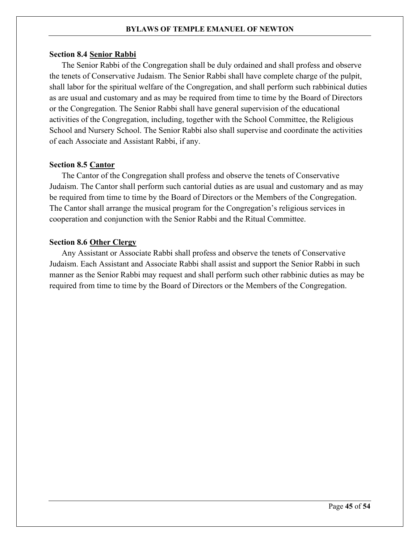# <span id="page-44-0"></span>**Section 8.4 Senior Rabbi**

The Senior Rabbi of the Congregation shall be duly ordained and shall profess and observe the tenets of Conservative Judaism. The Senior Rabbi shall have complete charge of the pulpit, shall labor for the spiritual welfare of the Congregation, and shall perform such rabbinical duties as are usual and customary and as may be required from time to time by the Board of Directors or the Congregation. The Senior Rabbi shall have general supervision of the educational activities of the Congregation, including, together with the School Committee, the Religious School and Nursery School. The Senior Rabbi also shall supervise and coordinate the activities of each Associate and Assistant Rabbi, if any.

# <span id="page-44-1"></span>**Section 8.5 Cantor**

The Cantor of the Congregation shall profess and observe the tenets of Conservative Judaism. The Cantor shall perform such cantorial duties as are usual and customary and as may be required from time to time by the Board of Directors or the Members of the Congregation. The Cantor shall arrange the musical program for the Congregation's religious services in cooperation and conjunction with the Senior Rabbi and the Ritual Committee.

# <span id="page-44-2"></span>**Section 8.6 Other Clergy**

Any Assistant or Associate Rabbi shall profess and observe the tenets of Conservative Judaism. Each Assistant and Associate Rabbi shall assist and support the Senior Rabbi in such manner as the Senior Rabbi may request and shall perform such other rabbinic duties as may be required from time to time by the Board of Directors or the Members of the Congregation.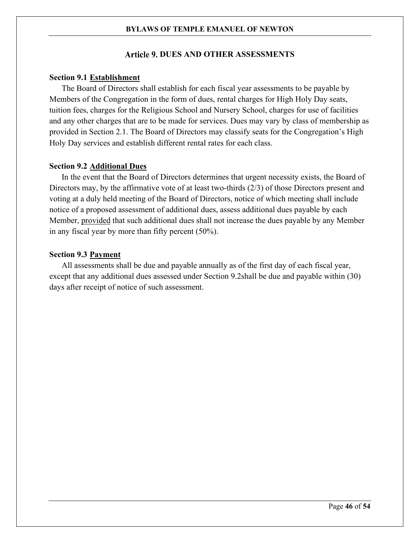# **Article 9. DUES AND OTHER ASSESSMENTS**

# <span id="page-45-1"></span><span id="page-45-0"></span>**Section 9.1 Establishment**

The Board of Directors shall establish for each fiscal year assessments to be payable by Members of the Congregation in the form of dues, rental charges for High Holy Day seats, tuition fees, charges for the Religious School and Nursery School, charges for use of facilities and any other charges that are to be made for services. Dues may vary by class of membership as provided in [Section 2.1.](#page-8-1) The Board of Directors may classify seats for the Congregation's High Holy Day services and establish different rental rates for each class.

# <span id="page-45-2"></span>**Section 9.2 Additional Dues**

In the event that the Board of Directors determines that urgent necessity exists, the Board of Directors may, by the affirmative vote of at least two-thirds (2/3) of those Directors present and voting at a duly held meeting of the Board of Directors, notice of which meeting shall include notice of a proposed assessment of additional dues, assess additional dues payable by each Member, provided that such additional dues shall not increase the dues payable by any Member in any fiscal year by more than fifty percent (50%).

#### <span id="page-45-3"></span>**Section 9.3 Payment**

All assessments shall be due and payable annually as of the first day of each fiscal year, except that any additional dues assessed under [Section 9.2s](#page-45-2)hall be due and payable within (30) days after receipt of notice of such assessment.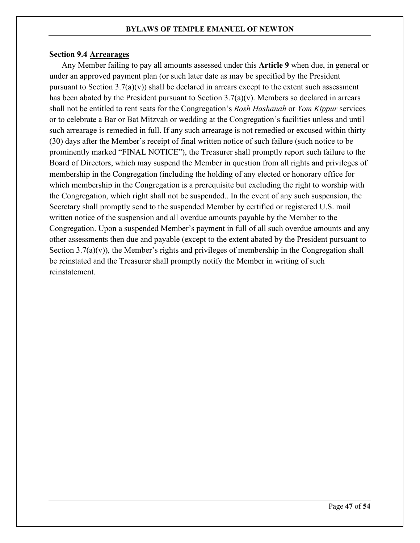# <span id="page-46-0"></span>**Section 9.4 Arrearages**

Any Member failing to pay all amounts assessed under this **[Article 9](#page-45-0)** when due, in general or under an approved payment plan (or such later date as may be specified by the President pursuant to Section  $3.7(a)(v)$ ) shall be declared in arrears except to the extent such assessment has been abated by the President pursuant to [Section 3.7](#page-13-2)[\(a\)\(v\).](#page-14-0) Members so declared in arrears shall not be entitled to rent seats for the Congregation's *Rosh Hashanah* or *Yom Kippur* services or to celebrate a Bar or Bat Mitzvah or wedding at the Congregation's facilities unless and until such arrearage is remedied in full. If any such arrearage is not remedied or excused within thirty (30) days after the Member's receipt of final written notice of such failure (such notice to be prominently marked "FINAL NOTICE"), the Treasurer shall promptly report such failure to the Board of Directors, which may suspend the Member in question from all rights and privileges of membership in the Congregation (including the holding of any elected or honorary office for which membership in the Congregation is a prerequisite but excluding the right to worship with the Congregation, which right shall not be suspended.. In the event of any such suspension, the Secretary shall promptly send to the suspended Member by certified or registered U.S. mail written notice of the suspension and all overdue amounts payable by the Member to the Congregation. Upon a suspended Member's payment in full of all such overdue amounts and any other assessments then due and payable (except to the extent abated by the President pursuant to Section  $3.7(a)(v)$ , the Member's rights and privileges of membership in the Congregation shall be reinstated and the Treasurer shall promptly notify the Member in writing of such reinstatement.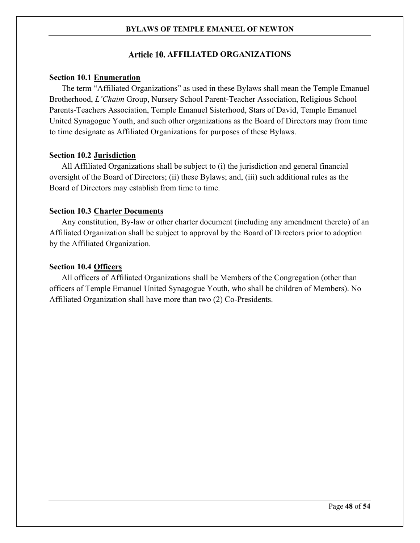# **AFFILIATED ORGANIZATIONS**

#### <span id="page-47-1"></span><span id="page-47-0"></span>**Section 10.1 Enumeration**

The term "Affiliated Organizations" as used in these Bylaws shall mean the Temple Emanuel Brotherhood, *L'Chaim* Group, Nursery School Parent-Teacher Association, Religious School Parents-Teachers Association, Temple Emanuel Sisterhood, Stars of David, Temple Emanuel United Synagogue Youth, and such other organizations as the Board of Directors may from time to time designate as Affiliated Organizations for purposes of these Bylaws.

# <span id="page-47-2"></span>**Section 10.2 Jurisdiction**

All Affiliated Organizations shall be subject to (i) the jurisdiction and general financial oversight of the Board of Directors; (ii) these Bylaws; and, (iii) such additional rules as the Board of Directors may establish from time to time.

# <span id="page-47-3"></span>**Section 10.3 Charter Documents**

Any constitution, By-law or other charter document (including any amendment thereto) of an Affiliated Organization shall be subject to approval by the Board of Directors prior to adoption by the Affiliated Organization.

#### <span id="page-47-4"></span>**Section 10.4 Officers**

All officers of Affiliated Organizations shall be Members of the Congregation (other than officers of Temple Emanuel United Synagogue Youth, who shall be children of Members). No Affiliated Organization shall have more than two (2) Co-Presidents.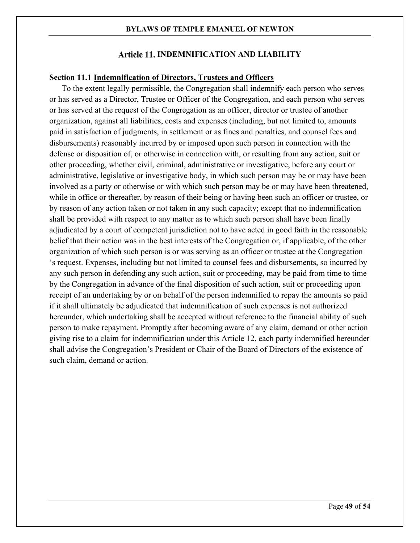# **Article 11. INDEMNIFICATION AND LIABILITY**

# <span id="page-48-1"></span><span id="page-48-0"></span>**Section 11.1 Indemnification of Directors, Trustees and Officers**

To the extent legally permissible, the Congregation shall indemnify each person who serves or has served as a Director, Trustee or Officer of the Congregation, and each person who serves or has served at the request of the Congregation as an officer, director or trustee of another organization, against all liabilities, costs and expenses (including, but not limited to, amounts paid in satisfaction of judgments, in settlement or as fines and penalties, and counsel fees and disbursements) reasonably incurred by or imposed upon such person in connection with the defense or disposition of, or otherwise in connection with, or resulting from any action, suit or other proceeding, whether civil, criminal, administrative or investigative, before any court or administrative, legislative or investigative body, in which such person may be or may have been involved as a party or otherwise or with which such person may be or may have been threatened, while in office or thereafter, by reason of their being or having been such an officer or trustee, or by reason of any action taken or not taken in any such capacity; except that no indemnification shall be provided with respect to any matter as to which such person shall have been finally adjudicated by a court of competent jurisdiction not to have acted in good faith in the reasonable belief that their action was in the best interests of the Congregation or, if applicable, of the other organization of which such person is or was serving as an officer or trustee at the Congregation 's request. Expenses, including but not limited to counsel fees and disbursements, so incurred by any such person in defending any such action, suit or proceeding, may be paid from time to time by the Congregation in advance of the final disposition of such action, suit or proceeding upon receipt of an undertaking by or on behalf of the person indemnified to repay the amounts so paid if it shall ultimately be adjudicated that indemnification of such expenses is not authorized hereunder, which undertaking shall be accepted without reference to the financial ability of such person to make repayment. Promptly after becoming aware of any claim, demand or other action giving rise to a claim for indemnification under this Article 12, each party indemnified hereunder shall advise the Congregation's President or Chair of the Board of Directors of the existence of such claim, demand or action.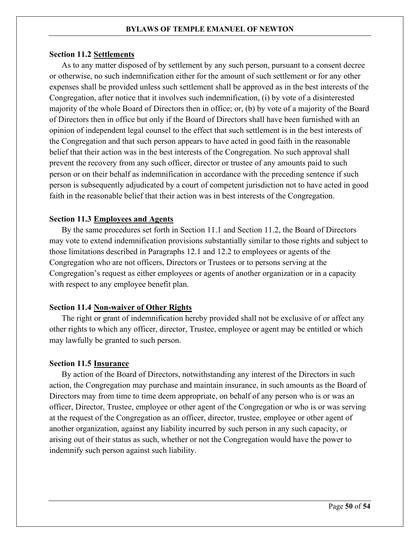#### <span id="page-49-0"></span>**Section 11.2 Settlements**

As to any matter disposed of by settlement by any such person, pursuant to a consent decree or otherwise, no such indemnification either for the amount of such settlement or for any other expenses shall be provided unless such settlement shall be approved as in the best interests of the Congregation, after notice that it involves such indemnification, (i) by vote of a disinterested majority of the whole Board of Directors then in office; or, (b) by vote of a majority of the Board of Directors then in office but only if the Board of Directors shall have been furnished with an opinion of independent legal counsel to the effect that such settlement is in the best interests of the Congregation and that such person appears to have acted in good faith in the reasonable belief that their action was in the best interests of the Congregation. No such approval shall prevent the recovery from any such officer, director or trustee of any amounts paid to such person or on their behalf as indemnification in accordance with the preceding sentence if such person is subsequently adjudicated by a court of competent jurisdiction not to have acted in good faith in the reasonable belief that their action was in best interests of the Congregation.

# <span id="page-49-1"></span>**Section 11.3 Employees and Agents**

By the same procedures set forth in [Section 11.1](#page-48-1) and [Section 11.2,](#page-49-0) the Board of Directors may vote to extend indemnification provisions substantially similar to those rights and subject to those limitations described in Paragraphs 12.1 and 12.2 to employees or agents of the Congregation who are not officers, Directors or Trustees or to persons serving at the Congregation's request as either employees or agents of another organization or in a capacity with respect to any employee benefit plan.

#### <span id="page-49-2"></span>**Section 11.4 Non-waiver of Other Rights**

The right or grant of indemnification hereby provided shall not be exclusive of or affect any other rights to which any officer, director, Trustee, employee or agent may be entitled or which may lawfully be granted to such person.

#### <span id="page-49-3"></span>**Section 11.5 Insurance**

By action of the Board of Directors, notwithstanding any interest of the Directors in such action, the Congregation may purchase and maintain insurance, in such amounts as the Board of Directors may from time to time deem appropriate, on behalf of any person who is or was an officer, Director, Trustee, employee or other agent of the Congregation or who is or was serving at the request of the Congregation as an officer, director, trustee, employee or other agent of another organization, against any liability incurred by such person in any such capacity, or arising out of their status as such, whether or not the Congregation would have the power to indemnify such person against such liability.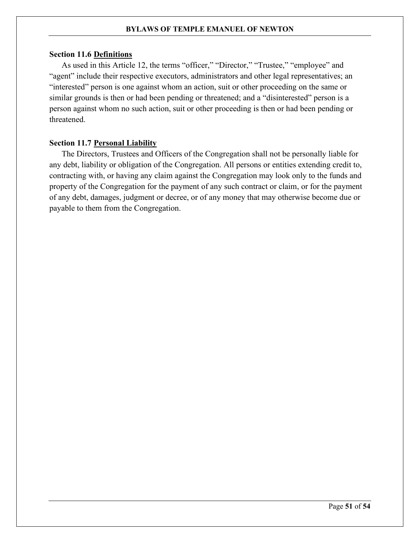# <span id="page-50-0"></span>**Section 11.6 Definitions**

As used in this Article 12, the terms "officer," "Director," "Trustee," "employee" and "agent" include their respective executors, administrators and other legal representatives; an "interested" person is one against whom an action, suit or other proceeding on the same or similar grounds is then or had been pending or threatened; and a "disinterested" person is a person against whom no such action, suit or other proceeding is then or had been pending or threatened.

# <span id="page-50-1"></span>**Section 11.7 Personal Liability**

The Directors, Trustees and Officers of the Congregation shall not be personally liable for any debt, liability or obligation of the Congregation. All persons or entities extending credit to, contracting with, or having any claim against the Congregation may look only to the funds and property of the Congregation for the payment of any such contract or claim, or for the payment of any debt, damages, judgment or decree, or of any money that may otherwise become due or payable to them from the Congregation.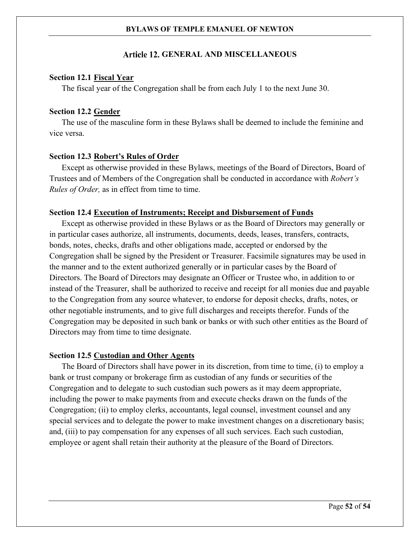# **GENERAL AND MISCELLANEOUS**

# <span id="page-51-1"></span><span id="page-51-0"></span>**Section 12.1 Fiscal Year**

The fiscal year of the Congregation shall be from each July 1 to the next June 30.

# <span id="page-51-2"></span>**Section 12.2 Gender**

The use of the masculine form in these Bylaws shall be deemed to include the feminine and vice versa.

# <span id="page-51-3"></span>**Section 12.3 Robert's Rules of Order**

Except as otherwise provided in these Bylaws, meetings of the Board of Directors, Board of Trustees and of Members of the Congregation shall be conducted in accordance with *Robert's Rules of Order,* as in effect from time to time.

# <span id="page-51-4"></span>**Section 12.4 Execution of Instruments; Receipt and Disbursement of Funds**

Except as otherwise provided in these Bylaws or as the Board of Directors may generally or in particular cases authorize, all instruments, documents, deeds, leases, transfers, contracts, bonds, notes, checks, drafts and other obligations made, accepted or endorsed by the Congregation shall be signed by the President or Treasurer. Facsimile signatures may be used in the manner and to the extent authorized generally or in particular cases by the Board of Directors. The Board of Directors may designate an Officer or Trustee who, in addition to or instead of the Treasurer, shall be authorized to receive and receipt for all monies due and payable to the Congregation from any source whatever, to endorse for deposit checks, drafts, notes, or other negotiable instruments, and to give full discharges and receipts therefor. Funds of the Congregation may be deposited in such bank or banks or with such other entities as the Board of Directors may from time to time designate.

#### <span id="page-51-5"></span>**Section 12.5 Custodian and Other Agents**

The Board of Directors shall have power in its discretion, from time to time, (i) to employ a bank or trust company or brokerage firm as custodian of any funds or securities of the Congregation and to delegate to such custodian such powers as it may deem appropriate, including the power to make payments from and execute checks drawn on the funds of the Congregation; (ii) to employ clerks, accountants, legal counsel, investment counsel and any special services and to delegate the power to make investment changes on a discretionary basis; and, (iii) to pay compensation for any expenses of all such services. Each such custodian, employee or agent shall retain their authority at the pleasure of the Board of Directors.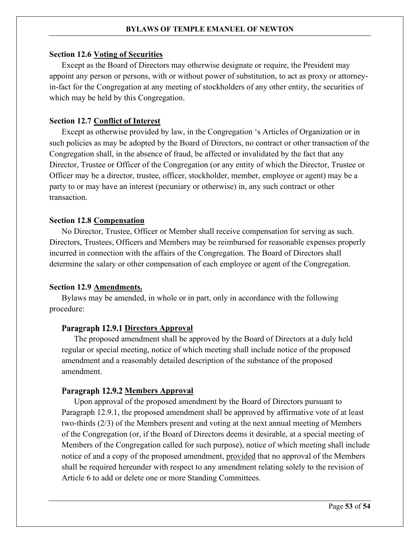#### <span id="page-52-0"></span>**Section 12.6 Voting of Securities**

Except as the Board of Directors may otherwise designate or require, the President may appoint any person or persons, with or without power of substitution, to act as proxy or attorneyin-fact for the Congregation at any meeting of stockholders of any other entity, the securities of which may be held by this Congregation.

# <span id="page-52-1"></span>**Section 12.7 Conflict of Interest**

Except as otherwise provided by law, in the Congregation 's Articles of Organization or in such policies as may be adopted by the Board of Directors, no contract or other transaction of the Congregation shall, in the absence of fraud, be affected or invalidated by the fact that any Director, Trustee or Officer of the Congregation (or any entity of which the Director, Trustee or Officer may be a director, trustee, officer, stockholder, member, employee or agent) may be a party to or may have an interest (pecuniary or otherwise) in, any such contract or other transaction.

# <span id="page-52-2"></span>**Section 12.8 Compensation**

No Director, Trustee, Officer or Member shall receive compensation for serving as such. Directors, Trustees, Officers and Members may be reimbursed for reasonable expenses properly incurred in connection with the affairs of the Congregation. The Board of Directors shall determine the salary or other compensation of each employee or agent of the Congregation.

#### <span id="page-52-3"></span>**Section 12.9 Amendments.**

Bylaws may be amended, in whole or in part, only in accordance with the following procedure:

# <span id="page-52-4"></span>Paragraph 12.9.1 Directors Approval

The proposed amendment shall be approved by the Board of Directors at a duly held regular or special meeting, notice of which meeting shall include notice of the proposed amendment and a reasonably detailed description of the substance of the proposed amendment.

#### Paragraph 12.9.2 Members Approval

Upon approval of the proposed amendment by the Board of Directors pursuant to [Paragraph 12.9.1,](#page-52-4) the proposed amendment shall be approved by affirmative vote of at least two-thirds (2/3) of the Members present and voting at the next annual meeting of Members of the Congregation (or, if the Board of Directors deems it desirable, at a special meeting of Members of the Congregation called for such purpose), notice of which meeting shall include notice of and a copy of the proposed amendment, provided that no approval of the Members shall be required hereunder with respect to any amendment relating solely to the revision of Article 6 to add or delete one or more Standing Committees.